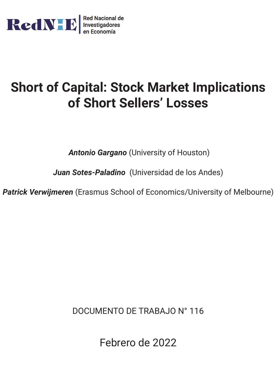

# **Short of Capital: Stock Market Implications of Short Sellers' Losses**

*Antonio Gargano* (University of Houston)

*Juan Sotes-Paladino* (Universidad de los Andes)

*Patrick Verwijmeren* (Erasmus School of Economics/University of Melbourne)

DOCUMENTO DE TRABAJO N° 116

Febrero de 2022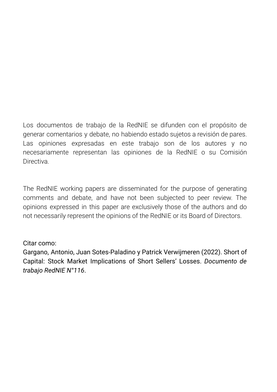Los documentos de trabajo de la RedNIE se difunden con el propósito de generar comentarios y debate, no habiendo estado sujetos a revisión de pares. Las opiniones expresadas en este trabajo son de los autores y no necesariamente representan las opiniones de la RedNIE o su Comisión **Directiva** 

The RedNIE working papers are disseminated for the purpose of generating comments and debate, and have not been subjected to peer review. The opinions expressed in this paper are exclusively those of the authors and do not necessarily represent the opinions of the RedNIE or its Board of Directors.

# Citar como:

Gargano, Antonio, Juan Sotes-Paladino y Patrick Verwijmeren (2022). Short of Capital: Stock Market Implications of Short Sellers' Losses. *Documento de trabajo RedNIE N°116*.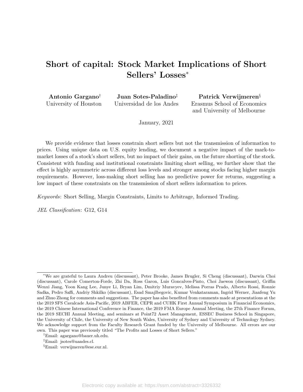# <span id="page-2-0"></span>Short of capital: Stock Market Implications of Short Sellers' Losses<sup>∗</sup>

| Antonio Gargano <sup>†</sup> |
|------------------------------|
| University of Houston        |

Juan Sotes-Paladino‡ Universidad de los Andes

Patrick Verwijmeren§ Erasmus School of Economics and University of Melbourne

January, 2021

We provide evidence that losses constrain short sellers but not the transmission of information to prices. Using unique data on U.S. equity lending, we document a negative impact of the mark-tomarket losses of a stock's short sellers, but no impact of their gains, on the future shorting of the stock. Consistent with funding and institutional constraints limiting short selling, we further show that the effect is highly asymmetric across different loss levels and stronger among stocks facing higher margin requirements. However, loss-making short selling has no predictive power for returns, suggesting a low impact of these constraints on the transmission of short sellers information to prices.

Keywords: Short Selling, Margin Constraints, Limits to Arbitrage, Informed Trading.

JEL Classification: G12, G14

<sup>∗</sup>We are grateful to Laura Andreu (discussant), Peter Brooke, James Brugler, Si Cheng (discussant), Darwin Choi (discussant), Carole Comerton-Forde, Zhi Da, Ross Garon, Luis Goncalves-Pinto, Choi Jaewon (discussant), Griffin Wenxi Jiang, Yoon Kang Lee, Junye Li, Bryan Lim, Dmitriy Muravyev, Melissa Porras Prado, Alberto Rossi, Ronnie Sadka, Pedro Saffi, Andriy Shkilko (discussant), Esad Smajlbegovic, Kumar Venkataraman, Ingrid Werner, Jianfeng Yu and Zhuo Zhong for comments and suggestions. The paper has also benefited from comments made at presentations at the the 2019 SFS Cavalcade Asia-Pacific, 2019 ABFER, CEPR and CUHK First Annual Symposium in Financial Economics, the 2019 Chinese International Conference in Finance, the 2019 FMA Europe Annual Meeting, the 27th Finance Forum, the 2019 SECHI Annual Meeting, and seminars at Point72 Asset Management, ESSEC Business School in Singapore, the University of Chile, the University of New South Wales, University of Sydney and University of Technology Sydney. We acknowledge support from the Faculty Research Grant funded by the University of Melbourne. All errors are our own. This paper was previously titled "The Profits and Losses of Short Sellers."

<sup>†</sup>Email: agargano@bauer.uh.edu.

<sup>‡</sup>Email: jsotes@uandes.cl.

<sup>§</sup>Email: verwijmeren@ese.eur.nl.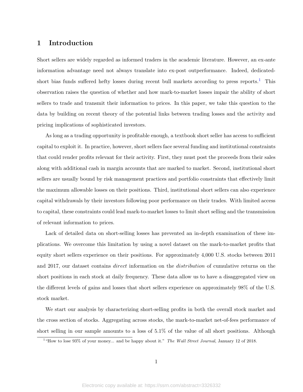# 1 Introduction

Short sellers are widely regarded as informed traders in the academic literature. However, an ex-ante information advantage need not always translate into ex-post outperformance. Indeed, dedicated-short bias funds suffered hefty losses during recent bull markets according to press reports.<sup>[1](#page-2-0)</sup> This observation raises the question of whether and how mark-to-market losses impair the ability of short sellers to trade and transmit their information to prices. In this paper, we take this question to the data by building on recent theory of the potential links between trading losses and the activity and pricing implications of sophisticated investors.

As long as a trading opportunity is profitable enough, a textbook short seller has access to sufficient capital to exploit it. In practice, however, short sellers face several funding and institutional constraints that could render profits relevant for their activity. First, they must post the proceeds from their sales along with additional cash in margin accounts that are marked to market. Second, institutional short sellers are usually bound by risk management practices and portfolio constraints that effectively limit the maximum allowable losses on their positions. Third, institutional short sellers can also experience capital withdrawals by their investors following poor performance on their trades. With limited access to capital, these constraints could lead mark-to-market losses to limit short selling and the transmission of relevant information to prices.

Lack of detailed data on short-selling losses has prevented an in-depth examination of these implications. We overcome this limitation by using a novel dataset on the mark-to-market profits that equity short sellers experience on their positions. For approximately 4,000 U.S. stocks between 2011 and 2017, our dataset contains *direct* information on the *distribution* of cumulative returns on the short positions in each stock at daily frequency. These data allow us to have a disaggregated view on the different levels of gains and losses that short sellers experience on approximately 98% of the U.S. stock market.

We start our analysis by characterizing short-selling profits in both the overall stock market and the cross section of stocks. Aggregating across stocks, the mark-to-market net-of-fees performance of short selling in our sample amounts to a loss of 5.1% of the value of all short positions. Although

<sup>&</sup>lt;sup>1</sup> "How to lose 93% of your money... and be happy about it." The Wall Street Journal, January 12 of 2018.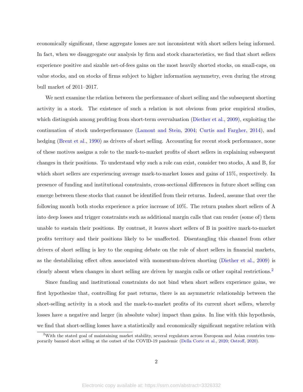economically significant, these aggregate losses are not inconsistent with short sellers being informed. In fact, when we disaggregate our analysis by firm and stock characteristics, we find that short sellers experience positive and sizable net-of-fees gains on the most heavily shorted stocks, on small-caps, on value stocks, and on stocks of firms subject to higher information asymmetry, even during the strong bull market of 2011–2017.

We next examine the relation between the performance of short selling and the subsequent shorting activity in a stock. The existence of such a relation is not obvious from prior empirical studies, which distinguish among profiting from short-term overvaluation [\(Diether et al.,](#page-31-0) [2009\)](#page-31-0), exploiting the continuation of stock underperformance [\(Lamont and Stein,](#page-32-0) [2004;](#page-32-0) [Curtis and Fargher,](#page-31-1) [2014\)](#page-31-1), and hedging [\(Brent et al.,](#page-30-0) [1990\)](#page-30-0) as drivers of short selling. Accounting for recent stock performance, none of these motives assigns a role to the mark-to-market profits of short sellers in explaining subsequent changes in their positions. To understand why such a role can exist, consider two stocks, A and B, for which short sellers are experiencing average mark-to-market losses and gains of 15%, respectively. In presence of funding and institutional constraints, cross-sectional differences in future short selling can emerge between these stocks that cannot be identified from their returns. Indeed, assume that over the following month both stocks experience a price increase of 10%. The return pushes short sellers of A into deep losses and trigger constraints such as additional margin calls that can render (some of) them unable to sustain their positions. By contrast, it leaves short sellers of B in positive mark-to-market profits territory and their positions likely to be unaffected. Disentangling this channel from other drivers of short selling is key to the ongoing debate on the role of short sellers in financial markets, as the destabilizing effect often associated with momentum-driven shorting [\(Diether et al.,](#page-31-0) [2009\)](#page-31-0) is clearly absent when changes in short selling are driven by margin calls or other capital restrictions.<sup>[2](#page-2-0)</sup>

Since funding and institutional constraints do not bind when short sellers experience gains, we first hypothesize that, controlling for past returns, there is an asymmetric relationship between the short-selling activity in a stock and the mark-to-market profits of its current short sellers, whereby losses have a negative and larger (in absolute value) impact than gains. In line with this hypothesis, we find that short-selling losses have a statistically and economically significant negative relation with

 $2$ With the stated goal of maintaining market stability, several regulators across European and Asian countries temporarily banned short selling at the outset of the COVID-19 pandemic [\(Della Corte et al.,](#page-31-2) [2020;](#page-31-2) [Ostroff,](#page-32-1) [2020\)](#page-32-1).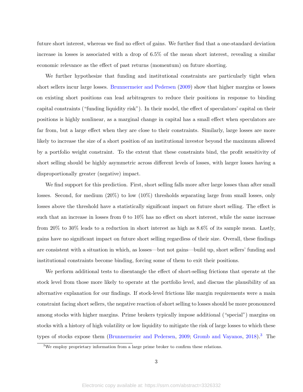future short interest, whereas we find no effect of gains. We further find that a one-standard deviation increase in losses is associated with a drop of 6.5% of the mean short interest, revealing a similar economic relevance as the effect of past returns (momentum) on future shorting.

We further hypothesize that funding and institutional constraints are particularly tight when short sellers incur large losses. [Brunnermeier and Pedersen](#page-31-3) [\(2009\)](#page-31-3) show that higher margins or losses on existing short positions can lead arbitrageurs to reduce their positions in response to binding capital constraints ("funding liquidity risk"). In their model, the effect of speculators' capital on their positions is highly nonlinear, as a marginal change in capital has a small effect when speculators are far from, but a large effect when they are close to their constraints. Similarly, large losses are more likely to increase the size of a short position of an institutional investor beyond the maximum allowed by a portfolio weight constraint. To the extent that these constraints bind, the profit sensitivity of short selling should be highly asymmetric across different levels of losses, with larger losses having a disproportionally greater (negative) impact.

We find support for this prediction. First, short selling falls more after large losses than after small losses. Second, for medium (20%) to low (10%) thresholds separating large from small losses, only losses above the threshold have a statistically significant impact on future short selling. The effect is such that an increase in losses from 0 to 10% has no effect on short interest, while the same increase from 20% to 30% leads to a reduction in short interest as high as 8.6% of its sample mean. Lastly, gains have no significant impact on future short selling regardless of their size. Overall, these findings are consistent with a situation in which, as losses—but not gains—build up, short sellers' funding and institutional constraints become binding, forcing some of them to exit their positions.

We perform additional tests to disentangle the effect of short-selling frictions that operate at the stock level from those more likely to operate at the portfolio level, and discuss the plausibility of an alternative explanation for our findings. If stock-level frictions like margin requirements were a main constraint facing short sellers, the negative reaction of short selling to losses should be more pronounced among stocks with higher margins. Prime brokers typically impose additional ("special") margins on stocks with a history of high volatility or low liquidity to mitigate the risk of large losses to which these types of stocks expose them [\(Brunnermeier and Pedersen,](#page-31-3) [2009;](#page-31-3) [Gromb and Vayanos,](#page-32-2) [2018\)](#page-32-2).<sup>[3](#page-2-0)</sup> The

<sup>&</sup>lt;sup>3</sup>We employ proprietary information from a large prime broker to confirm these relations.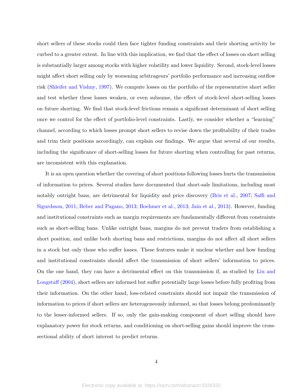short sellers of these stocks could then face tighter funding constraints and their shorting activity be curbed to a greater extent. In line with this implication, we find that the effect of losses on short selling is substantially larger among stocks with higher volatility and lower liquidity. Second, stock-level losses might affect short selling only by worsening arbitrageurs' portfolio performance and increasing outflow risk [\(Shleifer and Vishny,](#page-32-3) [1997\)](#page-32-3). We compute losses on the portfolio of the representative short seller and test whether these losses weaken, or even subsume, the effect of stock-level short-selling losses on future shorting. We find that stock-level frictions remain a significant determinant of short selling once we control for the effect of portfolio-level constraints. Lastly, we consider whether a "learning" channel, according to which losses prompt short sellers to revise down the profitability of their trades and trim their positions accordingly, can explain our findings. We argue that several of our results, including the significance of short-selling losses for future shorting when controlling for past returns, are inconsistent with this explanation.

It is an open question whether the covering of short positions following losses hurts the transmission of information to prices. Several studies have documented that short-sale limitations, including most notably outright bans, are detrimental for liquidity and price discovery [\(Bris et al.,](#page-30-1) [2007;](#page-30-1) [Saffi and](#page-32-4) [Sigurdsson,](#page-32-4) [2011;](#page-32-4) [Beber and Pagano,](#page-30-2) [2013;](#page-30-2) [Boehmer et al.,](#page-30-3) [2013;](#page-30-3) [Jain et al.,](#page-32-5) [2013\)](#page-32-5). However, funding and institutional constraints such as margin requirements are fundamentally different from constraints such as short-selling bans. Unlike outright bans, margins do not prevent traders from establishing a short position, and unlike both shorting bans and restrictions, margins do not affect all short sellers in a stock but only those who suffer losses. These features make it unclear whether and how funding and institutional constraints should affect the transmission of short sellers' information to prices. On the one hand, they can have a detrimental effect on this transmission if, as studied by [Liu and](#page-32-6) [Longstaff](#page-32-6) [\(2004\)](#page-32-6), short sellers are informed but suffer potentially large losses before fully profiting from their information. On the other hand, loss-related constraints should not impair the transmission of information to prices if short sellers are heterogeneously informed, so that losses belong predominantly to the lesser-informed sellers. If so, only the gain-making component of short selling should have explanatory power for stock returns, and conditioning on short-selling gains should improve the crosssectional ability of short interest to predict returns.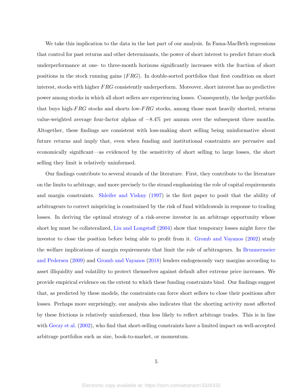We take this implication to the data in the last part of our analysis. In Fama-MacBeth regressions that control for past returns and other determinants, the power of short interest to predict future stock underperformance at one- to three-month horizons significantly increases with the fraction of short positions in the stock running gains  $(FRG)$ . In double-sorted portfolios that first condition on short interest, stocks with higher FRG consistently underperform. Moreover, short interest has no predictive power among stocks in which all short sellers are experiencing losses. Consequently, the hedge portfolio that buys high- $FRG$  stocks and shorts low- $FRG$  stocks, among those most heavily shorted, returns value-weighted average four-factor alphas of −8.4% per annum over the subsequent three months. Altogether, these findings are consistent with loss-making short selling being uninformative about future returns and imply that, even when funding and institutional constraints are pervasive and economically significant—as evidenced by the sensitivity of short selling to large losses, the short selling they limit is relatively uninformed.

Our findings contribute to several strands of the literature. First, they contribute to the literature on the limits to arbitrage, and more precisely to the strand emphasizing the role of capital requirements and margin constraints. [Shleifer and Vishny](#page-32-3) [\(1997\)](#page-32-3) is the first paper to posit that the ability of arbitrageurs to correct mispricing is constrained by the risk of fund withdrawals in response to trading losses. In deriving the optimal strategy of a risk-averse investor in an arbitrage opportunity whose short leg must be collateralized, [Liu and Longstaff](#page-32-6) [\(2004\)](#page-32-6) show that temporary losses might force the investor to close the position before being able to profit from it. [Gromb and Vayanos](#page-32-7) [\(2002\)](#page-32-7) study the welfare implications of margin requirements that limit the role of arbitrageurs. In [Brunnermeier](#page-31-3) [and Pedersen](#page-31-3) [\(2009\)](#page-31-3) and [Gromb and Vayanos](#page-32-2) [\(2018\)](#page-32-2) lenders endogenously vary margins according to asset illiquidity and volatility to protect themselves against default after extreme price increases. We provide empirical evidence on the extent to which these funding constraints bind. Our findings suggest that, as predicted by these models, the constraints can force short sellers to close their positions after losses. Perhaps more surprisingly, our analysis also indicates that the shorting activity most affected by these frictions is relatively uninformed, thus less likely to reflect arbitrage trades. This is in line with [Geczy et al.](#page-31-4) [\(2002\)](#page-31-4), who find that short-selling constraints have a limited impact on well-accepted arbitrage portfolios such as size, book-to-market, or momentum.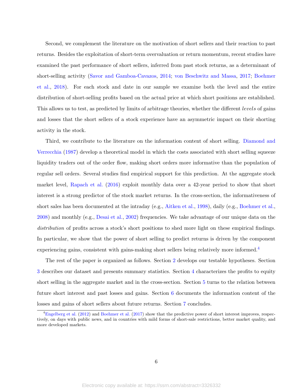Second, we complement the literature on the motivation of short sellers and their reaction to past returns. Besides the exploitation of short-term overvaluation or return momentum, recent studies have examined the past performance of short sellers, inferred from past stock returns, as a determinant of short-selling activity [\(Savor and Gamboa-Cavazos,](#page-32-8) [2014;](#page-32-8) [von Beschwitz and Massa,](#page-33-0) [2017;](#page-33-0) [Boehmer](#page-30-4) [et al.,](#page-30-4) [2018\)](#page-30-4). For each stock and date in our sample we examine both the level and the entire distribution of short-selling profits based on the actual price at which short positions are established. This allows us to test, as predicted by limits of arbitrage theories, whether the different levels of gains and losses that the short sellers of a stock experience have an asymmetric impact on their shorting activity in the stock.

Third, we contribute to the literature on the information content of short selling. [Diamond and](#page-31-5) [Verrecchia](#page-31-5) [\(1987\)](#page-31-5) develop a theoretical model in which the costs associated with short selling squeeze liquidity traders out of the order flow, making short orders more informative than the population of regular sell orders. Several studies find empirical support for this prediction. At the aggregate stock market level, [Rapach et al.](#page-32-9) [\(2016\)](#page-32-9) exploit monthly data over a 42-year period to show that short interest is a strong predictor of the stock market returns. In the cross-section, the informativeness of short sales has been documented at the intraday (e.g., [Aitken et al.,](#page-30-5) [1998\)](#page-30-5), daily (e.g., [Boehmer et al.,](#page-30-6) [2008\)](#page-30-6) and monthly (e.g., [Desai et al.,](#page-31-6) [2002\)](#page-31-6) frequencies. We take advantage of our unique data on the distribution of profits across a stock's short positions to shed more light on these empirical findings. In particular, we show that the power of short selling to predict returns is driven by the component experiencing gains, consistent with gains-making short sellers being relatively more informed.<sup>[4](#page-2-0)</sup>

The rest of the paper is organized as follows. Section [2](#page-9-0) develops our testable hypotheses. Section [3](#page-11-0) describes our dataset and presents summary statistics. Section [4](#page-14-0) characterizes the profits to equity short selling in the aggregate market and in the cross-section. Section [5](#page-18-0) turns to the relation between future short interest and past losses and gains. Section [6](#page-24-0) documents the information content of the losses and gains of short sellers about future returns. Section [7](#page-28-0) concludes.

<sup>&</sup>lt;sup>4</sup>[Engelberg et al.](#page-31-7) [\(2012\)](#page-31-7) and [Boehmer et al.](#page-30-7) [\(2017\)](#page-30-7) show that the predictive power of short interest improves, respectively, on days with public news, and in countries with mild forms of short-sale restrictions, better market quality, and more developed markets.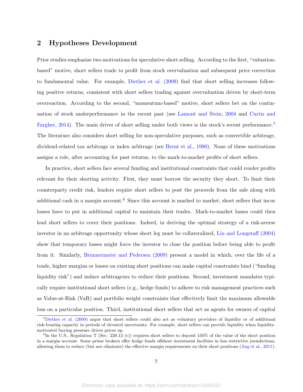# <span id="page-9-0"></span>2 Hypotheses Development

Prior studies emphasize two motivations for speculative short selling. According to the first, "valuationbased" motive, short sellers trade to profit from stock overvaluation and subsequent price correction to fundamental value. For example, [Diether et al.](#page-31-0) [\(2009\)](#page-31-0) find that short selling increases following positive returns, consistent with short sellers trading against overvaluation driven by short-term overreaction. According to the second, "momentum-based" motive, short sellers bet on the continuation of stock underperformance in the recent past (see [Lamont and Stein,](#page-32-0) [2004](#page-32-0) and [Curtis and](#page-31-1) [Fargher,](#page-31-1) [2014\)](#page-31-1). The main driver of short selling under both views is the stock's recent performance.<sup>[5](#page-2-0)</sup> The literature also considers short selling for non-speculative purposes, such as convertible arbitrage, dividend-related tax arbitrage or index arbitrage (see [Brent et al.,](#page-30-0) [1990\)](#page-30-0). None of these motivations assigns a role, after accounting for past returns, to the mark-to-market profits of short sellers.

In practice, short sellers face several funding and institutional constraints that could render profits relevant for their shorting activity. First, they must borrow the security they short. To limit their counterparty credit risk, lenders require short sellers to post the proceeds from the sale along with additional cash in a margin account.<sup>[6](#page-2-0)</sup> Since this account is marked to market, short sellers that incur losses have to put in additional capital to maintain their trades. Mark-to-market losses could then lead short sellers to cover their positions. Indeed, in deriving the optimal strategy of a risk-averse investor in an arbitrage opportunity whose short leg must be collateralized, [Liu and Longstaff](#page-32-6) [\(2004\)](#page-32-6) show that temporary losses might force the investor to close the position before being able to profit from it. Similarly, [Brunnermeier and Pedersen](#page-31-3) [\(2009\)](#page-31-3) present a model in which, over the life of a trade, higher margins or losses on existing short positions can make capital constraints bind ("funding liquidity risk") and induce arbitrageurs to reduce their positions. Second, investment mandates typically require institutional short sellers (e.g., hedge funds) to adhere to risk management practices such as Value-at-Risk (VaR) and portfolio weight constraints that effectively limit the maximum allowable loss on a particular position. Third, institutional short sellers that act as agents for owners of capital

 $5$ [Diether et al.](#page-31-0) [\(2009\)](#page-31-0) argue that short sellers could also act as voluntary providers of liquidity or of additional risk-bearing capacity in periods of elevated uncertainty. For example, short sellers can provide liquidity when liquiditymotivated buying pressure drives prices up.

 ${}^{6}$ In the U.S., Regulation T (Sec. 220.12 (c)) requires short sellers to deposit 150% of the value of the short position in a margin account. Some prime brokers offer hedge funds offshore investment facilities in less restrictive jurisdictions, allowing them to reduce (but not eliminate) the effective margin requirements on their short positions [\(Ang et al.,](#page-30-8) [2011\)](#page-30-8).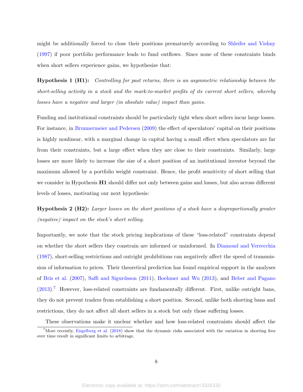might be additionally forced to close their positions prematurely according to [Shleifer and Vishny](#page-32-3) [\(1997\)](#page-32-3) if poor portfolio performance leads to fund outflows. Since none of these constraints binds when short sellers experience gains, we hypothesize that:

Hypothesis 1 (H1): Controlling for past returns, there is an asymmetric relationship between the short-selling activity in a stock and the mark-to-market profits of its current short sellers, whereby losses have a negative and larger (in absolute value) impact than gains.

Funding and institutional constraints should be particularly tight when short sellers incur large losses. For instance, in [Brunnermeier and Pedersen](#page-31-3) [\(2009\)](#page-31-3) the effect of speculators' capital on their positions is highly nonlinear, with a marginal change in capital having a small effect when speculators are far from their constraints, but a large effect when they are close to their constraints. Similarly, large losses are more likely to increase the size of a short position of an institutional investor beyond the maximum allowed by a portfolio weight constraint. Hence, the profit sensitivity of short selling that we consider in Hypothesis H1 should differ not only between gains and losses, but also across different levels of losses, motivating our next hypothesis:

Hypothesis 2 (H2): Larger losses on the short positions of a stock have a disproportionally greater (negative) impact on the stock's short selling.

Importantly, we note that the stock pricing implications of these "loss-related" constraints depend on whether the short sellers they constrain are informed or uninformed. In [Diamond and Verrecchia](#page-31-5) [\(1987\)](#page-31-5), short-selling restrictions and outright prohibitions can negatively affect the speed of transmission of information to prices. Their theoretical prediction has found empirical support in the analyses of [Bris et al.](#page-30-1) [\(2007\)](#page-30-1), [Saffi and Sigurdsson](#page-32-4) [\(2011\)](#page-32-4), [Boehmer and Wu](#page-30-9) [\(2013\)](#page-30-9), and [Beber and Pagano](#page-30-2)  $(2013).$  $(2013).$ <sup>[7](#page-2-0)</sup> However, loss-related constraints are fundamentally different. First, unlike outright bans, they do not prevent traders from establishing a short position. Second, unlike both shorting bans and restrictions, they do not affect all short sellers in a stock but only those suffering losses.

These observations make it unclear whether and how loss-related constraints should affect the

<sup>&</sup>lt;sup>7</sup>More recently, [Engelberg et al.](#page-31-8) [\(2018\)](#page-31-8) show that the dynamic risks associated with the variation in shorting fees over time result in significant limits to arbitrage.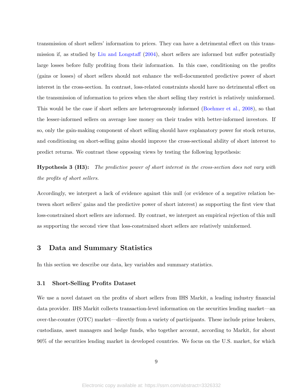transmission of short sellers' information to prices. They can have a detrimental effect on this transmission if, as studied by [Liu and Longstaff](#page-32-6) [\(2004\)](#page-32-6), short sellers are informed but suffer potentially large losses before fully profiting from their information. In this case, conditioning on the profits (gains or losses) of short sellers should not enhance the well-documented predictive power of short interest in the cross-section. In contrast, loss-related constraints should have no detrimental effect on the transmission of information to prices when the short selling they restrict is relatively uninformed. This would be the case if short sellers are heterogeneously informed [\(Boehmer et al.,](#page-30-6) [2008\)](#page-30-6), so that the lesser-informed sellers on average lose money on their trades with better-informed investors. If so, only the gain-making component of short selling should have explanatory power for stock returns, and conditioning on short-selling gains should improve the cross-sectional ability of short interest to predict returns. We contrast these opposing views by testing the following hypothesis:

Hypothesis 3 (H3): The predictive power of short interest in the cross-section does not vary with the profits of short sellers.

Accordingly, we interpret a lack of evidence against this null (or evidence of a negative relation between short sellers' gains and the predictive power of short interest) as supporting the first view that loss-constrained short sellers are informed. By contrast, we interpret an empirical rejection of this null as supporting the second view that loss-constrained short sellers are relatively uninformed.

# <span id="page-11-0"></span>3 Data and Summary Statistics

In this section we describe our data, key variables and summary statistics.

#### <span id="page-11-1"></span>3.1 Short-Selling Profits Dataset

We use a novel dataset on the profits of short sellers from IHS Markit, a leading industry financial data provider. IHS Markit collects transaction-level information on the securities lending market—an over-the-counter (OTC) market—directly from a variety of participants. These include prime brokers, custodians, asset managers and hedge funds, who together account, according to Markit, for about 90% of the securities lending market in developed countries. We focus on the U.S. market, for which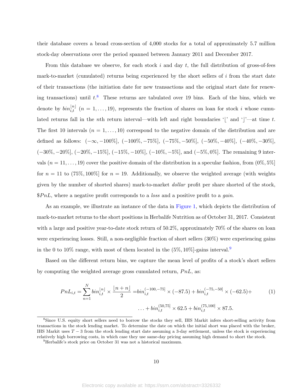their database covers a broad cross-section of 4,000 stocks for a total of approximately 5.7 million stock-day observations over the period spanned between January 2011 and December 2017.

From this database we observe, for each stock  $i$  and day  $t$ , the full distribution of gross-of-fees mark-to-market (cumulated) returns being experienced by the short sellers of i from the start date of their transactions (the initiation date for new transactions and the original start date for renewing transactions) until  $t^8$  $t^8$ . These returns are tabulated over 19 bins. Each of the bins, which we denote by  $\text{bin}_{i,t}^{[n]}$   $(n = 1, \ldots, 19)$ , represents the fraction of shares on loan for stock i whose cumulated returns fall in the nth return interval—with left and right boundaries '[' and ']'—at time t. The first 10 intervals  $(n = 1, \ldots, 10)$  correspond to the negative domain of the distribution and are defined as follows:  $(-\infty, -100\%, (-100\%, -75\%, (-75\%, -50\%, (-50\%, -40\%, (-40\%, -30\%, (-40\%, -30\%, (-40\%, -30\%, (-40\%, -30\%, (-40\%, -30\%, (-40\%, -30\%, (-40\%, -30\%, (-40\%, -30\%, (-40\%, -30\%, (-40\%, -30\%, (-40\%, -30\%, (-40\%, -30\%, (-40\%, -30\%, (-40\%, -30\%, (-40\%, -30\%, (-40\%, -30$  $(-30\%, -20\%, (-20\%, -15\%, (-15\%, -10\%, (-10\%, -5\%, \text{and } (-5\%, 0\%]).$  The remaining 9 intervals  $(n = 11, \ldots, 19)$  cover the positive domain of the distribution in a specular fashion, from  $(0\%, 5\%)$ for  $n = 11$  to  $(75\%, 100\%)$  for  $n = 19$ . Additionally, we observe the weighted average (with weights given by the number of shorted shares) mark-to-market dollar profit per share shorted of the stock,  $$PnL,$  where a negative profit corresponds to a *loss* and a positive profit to a *gain*.

As an example, we illustrate an instance of the data in Figure [1,](#page-34-0) which depicts the distribution of mark-to-market returns to the short positions in Herbalife Nutrition as of October 31, 2017. Consistent with a large and positive year-to-date stock return of  $50.2\%$ , approximately 70% of the shares on loan were experiencing losses. Still, a non-negligible fraction of short sellers (30%) were experiencing gains in the 0 to 10% range, with most of them located in the  $(5\%, 10\%)$ -gains interval.<sup>[9](#page-2-0)</sup>

Based on the different return bins, we capture the mean level of profits of a stock's short sellers by computing the weighted average gross cumulated return,  $PnL$ , as:

<span id="page-12-0"></span>
$$
PnL_{i,t} = \sum_{n=1}^{N} bin_{i,t}^{|n|} \times \frac{|n+n|}{2} = bin_{i,t}^{(-100,-75)} \times (-87.5) + bin_{i,t}^{(-75,-50)} \times (-62.5) + \cdots
$$
  
... +  $bin_{i,t}^{(50,75)} \times 62.5 + bin_{i,t}^{(75,100)} \times 87.5.$  (1)

<sup>8</sup>Since U.S. equity short sellers need to borrow the stocks they sell, IHS Markit infers short-selling activity from transactions in the stock lending market. To determine the date on which the initial short was placed with the broker, IHS Markit uses  $T-3$  from the stock lending start date assuming a 3-day settlement, unless the stock is experiencing relatively high borrowing costs, in which case they use same-day pricing assuming high demand to short the stock.

<sup>&</sup>lt;sup>9</sup>Herbalife's stock price on October 31 was not a historical maximum.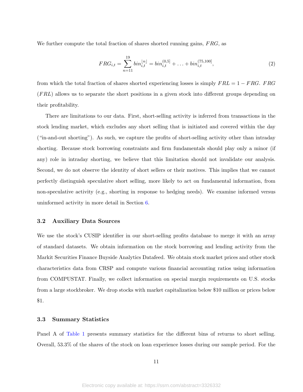We further compute the total fraction of shares shorted running gains,  $FRG$ , as

$$
FRG_{i,t} = \sum_{n=11}^{19} bin_{i,t}^{[n]} = bin_{i,t}^{(0,5]} + \dots + bin_{i,t}^{(75,100]},
$$
\n(2)

from which the total fraction of shares shorted experiencing losses is simply  $FRL = 1 - FRG$ . FRG  $(FRL)$  allows us to separate the short positions in a given stock into different groups depending on their profitability.

There are limitations to our data. First, short-selling activity is inferred from transactions in the stock lending market, which excludes any short selling that is initiated and covered within the day ("in-and-out shorting"). As such, we capture the profits of short-selling activity other than intraday shorting. Because stock borrowing constraints and firm fundamentals should play only a minor (if any) role in intraday shorting, we believe that this limitation should not invalidate our analysis. Second, we do not observe the identity of short sellers or their motives. This implies that we cannot perfectly distinguish speculative short selling, more likely to act on fundamental information, from non-speculative activity (e.g., shorting in response to hedging needs). We examine informed versus uninformed activity in more detail in Section [6.](#page-24-0)

#### 3.2 Auxiliary Data Sources

We use the stock's CUSIP identifier in our short-selling profits database to merge it with an array of standard datasets. We obtain information on the stock borrowing and lending activity from the Markit Securities Finance Buyside Analytics Datafeed. We obtain stock market prices and other stock characteristics data from CRSP and compute various financial accounting ratios using information from COMPUSTAT. Finally, we collect information on special margin requirements on U.S. stocks from a large stockbroker. We drop stocks with market capitalization below \$10 million or prices below \$1.

#### 3.3 Summary Statistics

Panel A of Table [1](#page-36-0) presents summary statistics for the different bins of returns to short selling. Overall, 53.3% of the shares of the stock on loan experience losses during our sample period. For the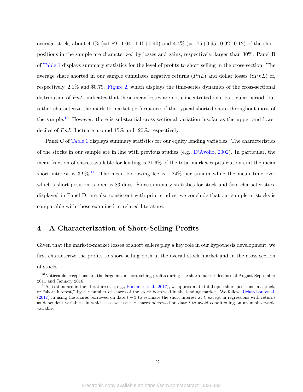average stock, about  $4.1\%$  (=1.89+1.04+1.15+0.40) and  $4.4\%$  (=1.75+0.95+0.92+0.12) of the short positions in the sample are characterized by losses and gains, respectively, larger than 30%. Panel B of Table [1](#page-36-0) displays summary statistics for the level of profits to short selling in the cross-section. The average share shorted in our sample cumulates negative returns  $(PhL)$  and dollar losses (\$PnL) of, respectively, 2.1% and \$0.79. Figure [2,](#page-35-0) which displays the time-series dynamics of the cross-sectional distribution of  $PnL$ , indicates that these mean losses are not concentrated on a particular period, but rather characterize the mark-to-market performance of the typical shorted share throughout most of the sample.<sup>[10](#page-2-0)</sup> However, there is substantial cross-sectional variation insofar as the upper and lower deciles of PnL fluctuate around 15% and -20%, respectively.

Panel C of Table [1](#page-36-0) displays summary statistics for our equity lending variables. The characteristics of the stocks in our sample are in line with previous studies (e.g.,  $D'Avolio, 2002$  $D'Avolio, 2002$ ). In particular, the mean fraction of shares available for lending is 21.6% of the total market capitalization and the mean short interest is  $3.9\%$ .<sup>[11](#page-2-0)</sup> The mean borrowing fee is  $1.24\%$  per annum while the mean time over which a short position is open is 83 days. Since summary statistics for stock and firm characteristics, displayed in Panel D, are also consistent with prior studies, we conclude that our sample of stocks is comparable with those examined in related literature.

# <span id="page-14-0"></span>4 A Characterization of Short-Selling Profits

Given that the mark-to-market losses of short sellers play a key role in our hypothesis development, we first characterize the profits to short selling both in the overall stock market and in the cross section of stocks.

 $10$ Noticeable exceptions are the large mean short-selling profits during the sharp market declines of August-September 2011 and January 2016.

<sup>&</sup>lt;sup>11</sup>As is standard in the literature (see, e.g., [Boehmer et al.,](#page-30-7) [2017\)](#page-30-7), we approximate total open short positions in a stock, or "short interest," by the number of shares of the stock borrowed in the lending market. We follow [Richardson et al.](#page-32-10) [\(2017\)](#page-32-10) in using the shares borrowed on date  $t + 3$  to estimate the short interest at t, except in regressions with returns as dependent variables, in which case we use the shares borrowed on date t to avoid conditioning on an unobservable variable.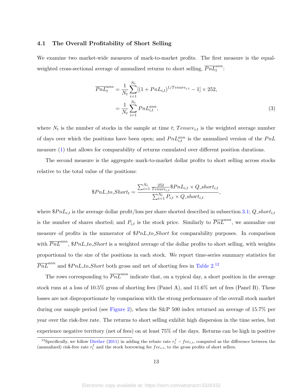#### <span id="page-15-0"></span>4.1 The Overall Profitability of Short Selling

We examine two market-wide measures of mark-to-market profits. The first measure is the equalweighted cross-sectional average of annualized returns to short selling,  $\overline{PnL}_t^{ann}$ :

$$
\overline{PnL}_t^{ann} = \frac{1}{N_t} \sum_{i=1}^{N_t} [(1 + PnL_{i,t})^{1/Tenure_{i,t}} - 1] \times 252,
$$
  

$$
= \frac{1}{N_t} \sum_{i=1}^{N_t} PnL_{i,t}^{ann}, \tag{3}
$$

where  $N_t$  is the number of stocks in the sample at time t;  $Tenure_{i,t}$  is the weighted average number of days over which the positions have been open; and  $PnL_{i,t}^{ann}$  is the annualized version of the  $PnL$ measure [\(1\)](#page-12-0) that allows for comparability of returns cumulated over different position durations.

The second measure is the aggregate mark-to-market dollar profits to short selling across stocks relative to the total value of the positions:

$$
\$PnL_to\_Short_t = \frac{\sum_{i=1}^{N_t} \frac{252}{Tenure_{i,t}} \$PnL_{i,t} \times Q\_short_{i,t}}{\sum_{i=1}^{N_t} P_{i,t} \times Q\_short_{i,t}},
$$

where  $$PnL_{i,t}$$  is the average dollar profit/loss per share shorted described in subsection [3.1;](#page-11-1) Q\_short<sub>i,t</sub> is the number of shares shorted; and  $P_{i,t}$  is the stock price. Similarly to  $\overline{PnL}^{ann}$ , we annualize our measure of profits in the numerator of  $$PnL_to\_Short$  for comparability purposes. In comparison with  $\overline{PnL}^{ann}$ , \$PnL\_to\_Short is a weighted average of the dollar profits to short selling, with weights proportional to the size of the positions in each stock. We report time-series summary statistics for  $\overline{PnL}^{ann}$  and \$PnL\_to\_Short both gross and net of shorting fees in Table [2.](#page-38-0)<sup>[12](#page-2-0)</sup>

The rows corresponding to  $\overline{PnL}^{ann}$  indicate that, on a typical day, a short position in the average stock runs at a loss of 10.5% gross of shorting fees (Panel A), and 11.6% net of fees (Panel B). These losses are not disproportionate by comparison with the strong performance of the overall stock market during our sample period (see Figure [2\)](#page-35-0), when the S&P 500 index returned an average of 15.7% per year over the risk-free rate. The returns to short selling exhibit high dispersion in the time series, but experience negative territory (net of fees) on at least 75% of the days. Returns can be high in positive

<sup>&</sup>lt;sup>12</sup>Specifically, we follow [Diether](#page-31-10) [\(2011\)](#page-31-10) in adding the rebate rate  $r_t^f - fee_{i,t}$ , computed as the difference between the (annualized) risk-free rate  $r_t^f$  and the stock borrowing fee  $fee_{i,t}$ , to the gross profits of short sellers.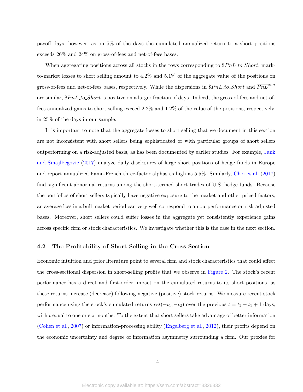payoff days, however, as on 5% of the days the cumulated annualized return to a short positions exceeds 26% and 24% on gross-of-fees and net-of-fees bases.

When aggregating positions across all stocks in the rows corresponding to  $$PnL_to\_Short,$  markto-market losses to short selling amount to 4.2% and 5.1% of the aggregate value of the positions on gross-of-fees and net-of-fees bases, respectively. While the dispersions in  $$PnL_to\_Short$  and  $\overline{PnL}^{ann}$ are similar,  $$PnL_to\_Short$  is positive on a larger fraction of days. Indeed, the gross-of-fees and net-offees annualized gains to short selling exceed 2.2% and 1.2% of the value of the positions, respectively, in 25% of the days in our sample.

It is important to note that the aggregate losses to short selling that we document in this section are not inconsistent with short sellers being sophisticated or with particular groups of short sellers outperforming on a risk-adjusted basis, as has been documented by earlier studies. For example, [Jank](#page-32-11) [and Smajlbegovic](#page-32-11) [\(2017\)](#page-32-11) analyze daily disclosures of large short positions of hedge funds in Europe and report annualized Fama-French three-factor alphas as high as 5.5%. Similarly, [Choi et al.](#page-31-11) [\(2017\)](#page-31-11) find significant abnormal returns among the short-termed short trades of U.S. hedge funds. Because the portfolios of short sellers typically have negative exposure to the market and other priced factors, an average loss in a bull market period can very well correspond to an outperformance on risk-adjusted bases. Moreover, short sellers could suffer losses in the aggregate yet consistently experience gains across specific firm or stock characteristics. We investigate whether this is the case in the next section.

#### <span id="page-16-0"></span>4.2 The Profitability of Short Selling in the Cross-Section

Economic intuition and prior literature point to several firm and stock characteristics that could affect the cross-sectional dispersion in short-selling profits that we observe in Figure [2.](#page-35-0) The stock's recent performance has a direct and first-order impact on the cumulated returns to its short positions, as these returns increase (decrease) following negative (positive) stock returns. We measure recent stock performance using the stock's cumulated returns  $ret(-t_1, -t_2)$  over the previous  $t = t_2 - t_1 + 1$  days, with  $t$  equal to one or six months. To the extent that short sellers take advantage of better information [\(Cohen et al.,](#page-31-12) [2007\)](#page-31-12) or information-processing ability [\(Engelberg et al.,](#page-31-7) [2012\)](#page-31-7), their profits depend on the economic uncertainty and degree of information asymmetry surrounding a firm. Our proxies for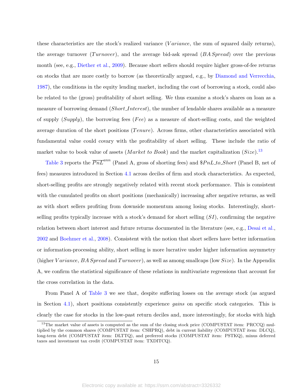these characteristics are the stock's realized variance (*Variance*, the sum of squared daily returns), the average turnover  $(Turnover)$ , and the average bid-ask spread  $(BASpread)$  over the previous month (see, e.g., [Diether et al.,](#page-31-0) [2009\)](#page-31-0). Because short sellers should require higher gross-of-fee returns on stocks that are more costly to borrow (as theoretically argued, e.g., by [Diamond and Verrecchia,](#page-31-5) [1987\)](#page-31-5), the conditions in the equity lending market, including the cost of borrowing a stock, could also be related to the (gross) profitability of short selling. We thus examine a stock's shares on loan as a measure of borrowing demand (Short Interest), the number of lendable shares available as a measure of supply  $(Supply)$ , the borrowing fees (Fee) as a measure of short-selling costs, and the weighted average duration of the short positions ( $T$  enure). Across firms, other characteristics associated with fundamental value could covary with the profitability of short selling. These include the ratio of market value to book value of assets (*Market to Book*) and the market capitalization (*Size*).<sup>[13](#page-2-0)</sup>

Table [3](#page-39-0) reports the  $\overline{PnL}^{ann}$  (Panel A, gross of shorting fees) and  $$PnL_to\_Short$  (Panel B, net of fees) measures introduced in Section [4.1](#page-15-0) across deciles of firm and stock characteristics. As expected, short-selling profits are strongly negatively related with recent stock performance. This is consistent with the cumulated profits on short positions (mechanically) increasing after negative returns, as well as with short sellers profiting from downside momentum among losing stocks. Interestingly, shortselling profits typically increase with a stock's demand for short selling  $(SI)$ , confirming the negative relation between short interest and future returns documented in the literature (see, e.g., [Desai et al.,](#page-31-6) [2002](#page-31-6) and [Boehmer et al.,](#page-30-6) [2008\)](#page-30-6). Consistent with the notion that short sellers have better information or information-processing ability, short selling is more lucrative under higher information asymmetry (higher Variance, BA Spread and Turnover), as well as among smallcaps (low  $Size$ ). In the Appendix A, we confirm the statistical significance of these relations in multivariate regressions that account for the cross correlation in the data.

From Panel A of Table [3](#page-39-0) we see that, despite suffering losses on the average stock (as argued in Section [4.1\)](#page-15-0), short positions consistently experience gains on specific stock categories. This is clearly the case for stocks in the low-past return deciles and, more interestingly, for stocks with high

<sup>&</sup>lt;sup>13</sup>The market value of assets is computed as the sum of the closing stock price (COMPUSTAT item: PRCCQ) multiplied by the common shares (COMPUSTAT item: CSHPRQ), debt in current liability (COMPUSTAT item: DLCQ), long-term debt (COMPUSTAT item: DLTTQ), and preferred stocks (COMPUSTAT item: PSTKQ), minus deferred taxes and investment tax credit (COMPUSTAT item: TXDITCQ).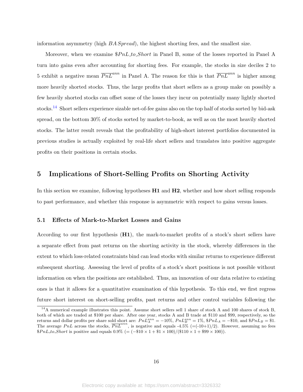information asymmetry (high BA Spread), the highest shorting fees, and the smallest size.

Moreover, when we examine  $\$PnL_to\_Short$  in Panel B, some of the losses reported in Panel A turn into gains even after accounting for shorting fees. For example, the stocks in size deciles 2 to 5 exhibit a negative mean  $\overline{PnL}^{ann}$  in Panel A. The reason for this is that  $\overline{PnL}^{ann}$  is higher among more heavily shorted stocks. Thus, the large profits that short sellers as a group make on possibly a few heavily shorted stocks can offset some of the losses they incur on potentially many lightly shorted stocks.[14](#page-2-0) Short sellers experience sizable net-of-fee gains also on the top half of stocks sorted by bid-ask spread, on the bottom 30% of stocks sorted by market-to-book, as well as on the most heavily shorted stocks. The latter result reveals that the profitability of high-short interest portfolios documented in previous studies is actually exploited by real-life short sellers and translates into positive aggregate profits on their positions in certain stocks.

# <span id="page-18-0"></span>5 Implications of Short-Selling Profits on Shorting Activity

In this section we examine, following hypotheses H1 and H2, whether and how short selling responds to past performance, and whether this response is asymmetric with respect to gains versus losses.

#### <span id="page-18-1"></span>5.1 Effects of Mark-to-Market Losses and Gains

According to our first hypothesis  $(H1)$ , the mark-to-market profits of a stock's short sellers have a separate effect from past returns on the shorting activity in the stock, whereby differences in the extent to which loss-related constraints bind can lead stocks with similar returns to experience different subsequent shorting. Assessing the level of profits of a stock's short positions is not possible without information on when the positions are established. Thus, an innovation of our data relative to existing ones is that it allows for a quantitative examination of this hypothesis. To this end, we first regress future short interest on short-selling profits, past returns and other control variables following the

<sup>&</sup>lt;sup>14</sup>A numerical example illustrates this point. Assume short sellers sell 1 share of stock A and 100 shares of stock B, both of which are traded at \$100 per share. After one year, stocks A and B trade at \$110 and \$99, respectively, so the returns and dollar profits per share sold short are:  $PnL_A^{ann} = -10\%$ ,  $PnL_B^{ann} = 1\%$ ,  $\$PnL_A = -\$10$ , and  $\$PnL_B = \$1$ . The average PnL across the stocks,  $\overline{PnL}^{ann}$ , is negative and equals -4.5% (=(-10+1)/2). However, assuming no fees  $$PnL_to\_Short$  is positive and equals  $0.9\%$  (=  $(-\$10 \times 1 + \$1 \times 100)/(\$110 \times 1 + \$99 \times 100)$ ).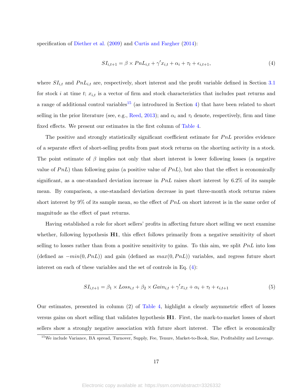specification of [Diether et al.](#page-31-0) [\(2009\)](#page-31-0) and [Curtis and Fargher](#page-31-1) [\(2014\)](#page-31-1):

<span id="page-19-0"></span>
$$
SI_{i,t+1} = \beta \times PnL_{i,t} + \gamma'x_{i,t} + \alpha_i + \tau_t + \epsilon_{i,t+1},\tag{4}
$$

where  $SI_{i,t}$  and  $PnL_{i,t}$  are, respectively, short interest and the profit variable defined in Section [3.1](#page-11-1) for stock i at time t;  $x_{i,t}$  is a vector of firm and stock characteristics that includes past returns and a range of additional control variables<sup>[15](#page-2-0)</sup> (as introduced in Section [4\)](#page-14-0) that have been related to short selling in the prior literature (see, e.g., [Reed,](#page-32-12) [2013\)](#page-32-12); and  $\alpha_i$  and  $\tau_t$  denote, respectively, firm and time fixed effects. We present our estimates in the first column of Table [4.](#page-40-0)

The positive and strongly statistically significant coefficient estimate for  $PnL$  provides evidence of a separate effect of short-selling profits from past stock returns on the shorting activity in a stock. The point estimate of  $\beta$  implies not only that short interest is lower following losses (a negative value of  $PnL$ ) than following gains (a positive value of  $PnL$ ), but also that the effect is economically significant, as a one-standard deviation increase in  $PnL$  raises short interest by 6.2% of its sample mean. By comparison, a one-standard deviation decrease in past three-month stock returns raises short interest by 9% of its sample mean, so the effect of  $PnL$  on short interest is in the same order of magnitude as the effect of past returns.

Having established a role for short sellers' profits in affecting future short selling we next examine whether, following hypothesis  $H1$ , this effect follows primarily from a negative sensitivity of short selling to losses rather than from a positive sensitivity to gains. To this aim, we split  $PnL$  into loss (defined as  $-min(0, PnL)$ ) and gain (defined as  $max(0, PnL)$ ) variables, and regress future short interest on each of these variables and the set of controls in Eq. [\(4\)](#page-19-0):

<span id="page-19-1"></span>
$$
SI_{i,t+1} = \beta_1 \times Loss_{i,t} + \beta_2 \times Gain_{i,t} + \gamma' x_{i,t} + \alpha_i + \tau_t + \epsilon_{i,t+1}
$$
\n
$$
\tag{5}
$$

Our estimates, presented in column (2) of Table [4,](#page-40-0) highlight a clearly asymmetric effect of losses versus gains on short selling that validates hypothesis H1. First, the mark-to-market losses of short sellers show a strongly negative association with future short interest. The effect is economically

<sup>&</sup>lt;sup>15</sup>We include Variance, BA spread, Turnover, Supply, Fee, Tenure, Market-to-Book, Size, Profitability and Leverage.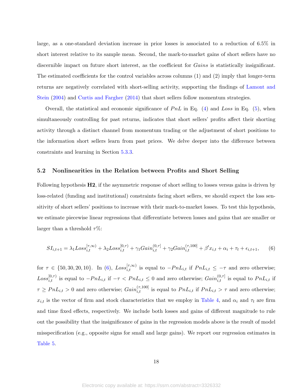large, as a one-standard deviation increase in prior losses is associated to a reduction of 6.5% in short interest relative to its sample mean. Second, the mark-to-market gains of short sellers have no discernible impact on future short interest, as the coefficient for *Gains* is statistically insignificant. The estimated coefficients for the control variables across columns (1) and (2) imply that longer-term returns are negatively correlated with short-selling activity, supporting the findings of [Lamont and](#page-32-0) [Stein](#page-32-0) [\(2004\)](#page-32-0) and [Curtis and Fargher](#page-31-1) [\(2014\)](#page-31-1) that short sellers follow momentum strategies.

Overall, the statistical and economic significance of  $PnL$  in Eq. [\(4\)](#page-19-0) and Loss in Eq. [\(5\)](#page-19-1), when simultaneously controlling for past returns, indicates that short sellers' profits affect their shorting activity through a distinct channel from momentum trading or the adjustment of short positions to the information short sellers learn from past prices. We delve deeper into the difference between constraints and learning in Section [5.3.3.](#page-23-0)

#### <span id="page-20-1"></span>5.2 Nonlinearities in the Relation between Profits and Short Selling

Following hypothesis H2, if the asymmetric response of short selling to losses versus gains is driven by loss-related (funding and institutional) constraints facing short sellers, we should expect the loss sensitivity of short sellers' positions to increase with their mark-to-market losses. To test this hypothesis, we estimate piecewise linear regressions that differentiate between losses and gains that are smaller or larger than a threshold  $\tau\%$ :

<span id="page-20-0"></span>
$$
SI_{i,t+1} = \lambda_1 Loss_{i,t}^{[\tau,\infty)} + \lambda_2 Loss_{i,t}^{[0,\tau)} + \gamma_1 Gain_{i,t}^{(0,\tau)} + \gamma_2 Gain_{i,t}^{(\tau,100)} + \beta' x_{i,t} + \alpha_i + \tau_t + \epsilon_{i,t+1},
$$
 (6)

for  $\tau \in \{50, 30, 20, 10\}$ . In [\(6\)](#page-20-0),  $Loss_{i,t}^{[\tau, \infty)}$  is equal to  $-PnL_{i,t}$  if  $PnL_{i,t} \leq -\tau$  and zero otherwise;  $Loss_{i,t}^{[0,\tau]}$  is equal to  $-PnL_{i,t}$  if  $-\tau < PnL_{i,t} \leq 0$  and zero otherwise;  $Gain_{i,t}^{(0,\tau]}$  is equal to  $PnL_{i,t}$  if  $\tau \geq P n L_{i,t} > 0$  and zero otherwise;  $Gain_{i,t}^{(\tau,100]}$  is equal to  $P n L_{i,t}$  if  $P n L_{i,t} > \tau$  and zero otherwise;  $x_{i,t}$  is the vector of firm and stock characteristics that we employ in Table [4,](#page-40-0) and  $\alpha_i$  and  $\tau_t$  are firm and time fixed effects, respectively. We include both losses and gains of different magnitude to rule out the possibility that the insignificance of gains in the regression models above is the result of model misspecification (e.g., opposite signs for small and large gains). We report our regression estimates in Table [5.](#page-41-0)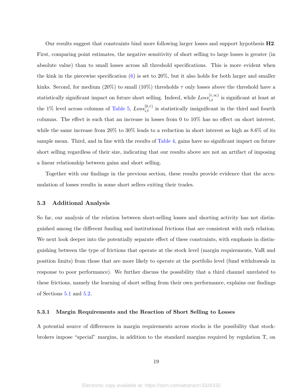Our results suggest that constraints bind more following larger losses and support hypothesis H2. First, comparing point estimates, the negative sensitivity of short selling to large losses is greater (in absolute value) than to small losses across all threshold specifications. This is more evident when the kink in the piecewise specification [\(6\)](#page-20-0) is set to 20%, but it also holds for both larger and smaller kinks. Second, for medium (20%) to small (10%) thresholds  $\tau$  only losses above the threshold have a statistically significant impact on future short selling. Indeed, while  $Loss_{i,t}^{[\tau,\infty)}$  is significant at least at the 1% level across columns of Table [5,](#page-41-0)  $Loss_{i,t}^{[0,\tau)}$  is statistically insignificant in the third and fourth columns. The effect is such that an increase in losses from 0 to 10% has no effect on short interest, while the same increase from 20% to 30% leads to a reduction in short interest as high as 8.6% of its sample mean. Third, and in line with the results of Table [4,](#page-40-0) gains have no significant impact on future short selling regardless of their size, indicating that our results above are not an artifact of imposing a linear relationship between gains and short selling.

Together with our findings in the previous section, these results provide evidence that the accumulation of losses results in some short sellers exiting their trades.

#### 5.3 Additional Analysis

So far, our analysis of the relation between short-selling losses and shorting activity has not distinguished among the different funding and institutional frictions that are consistent with such relation. We next look deeper into the potentially separate effect of these constraints, with emphasis in distinguishing between the type of frictions that operate at the stock level (margin requirements, VaR and position limits) from those that are more likely to operate at the portfolio level (fund withdrawals in response to poor performance). We further discuss the possibility that a third channel unrelated to these frictions, namely the learning of short selling from their own performance, explains our findings of Sections [5.1](#page-18-1) and [5.2.](#page-20-1)

#### <span id="page-21-0"></span>5.3.1 Margin Requirements and the Reaction of Short Selling to Losses

A potential source of differences in margin requirements across stocks is the possibility that stockbrokers impose "special" margins, in addition to the standard margins required by regulation T, on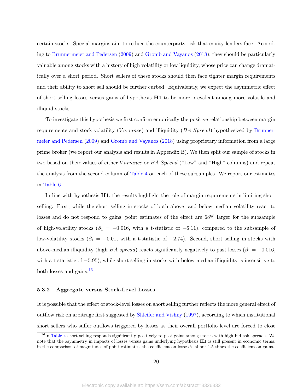certain stocks. Special margins aim to reduce the counterparty risk that equity lenders face. According to [Brunnermeier and Pedersen](#page-31-3) [\(2009\)](#page-31-3) and [Gromb and Vayanos](#page-32-2) [\(2018\)](#page-32-2), they should be particularly valuable among stocks with a history of high volatility or low liquidity, whose price can change dramatically over a short period. Short sellers of these stocks should then face tighter margin requirements and their ability to short sell should be further curbed. Equivalently, we expect the asymmetric effect of short selling losses versus gains of hypothesis H1 to be more prevalent among more volatile and illiquid stocks.

To investigate this hypothesis we first confirm empirically the positive relationship between margin requirements and stock volatility (Variance) and illiquidity  $(BA \; Spread)$  hypothesized by [Brunner](#page-31-3)[meier and Pedersen](#page-31-3) [\(2009\)](#page-31-3) and [Gromb and Vayanos](#page-32-2) [\(2018\)](#page-32-2) using proprietary information from a large prime broker (we report our analysis and results in Appendix B). We then split our sample of stocks in two based on their values of either *Variance* or *BA Spread* ("Low" and "High" columns) and repeat the analysis from the second column of Table [4](#page-40-0) on each of these subsamples. We report our estimates in Table [6.](#page-42-0)

In line with hypothesis  $H1$ , the results highlight the role of margin requirements in limiting short selling. First, while the short selling in stocks of both above- and below-median volatility react to losses and do not respond to gains, point estimates of the effect are 68% larger for the subsample of high-volatility stocks ( $\beta_1 = -0.016$ , with a t-statistic of  $-6.11$ ), compared to the subsample of low-volatility stocks ( $\beta_1 = -0.01$ , with a t-statistic of  $-2.74$ ). Second, short selling in stocks with above-median illiquidity (high BA spread) reacts significantly negatively to past losses ( $\beta_1 = -0.016$ , with a t-statistic of −5.95), while short selling in stocks with below-median illiquidity is insensitive to both losses and gains.<sup>[16](#page-2-0)</sup>

#### 5.3.2 Aggregate versus Stock-Level Losses

It is possible that the effect of stock-level losses on short selling further reflects the more general effect of outflow risk on arbitrage first suggested by [Shleifer and Vishny](#page-32-3) [\(1997\)](#page-32-3), according to which institutional short sellers who suffer outflows triggered by losses at their overall portfolio level are forced to close

 $^{16}$ In Table [4](#page-40-0) short selling responds significantly positively to past gains among stocks with high bid-ask spreads. We note that the asymmetry in impacts of losses versus gains underlying hypothesis  $H1$  is still present in economic terms: in the comparison of magnitudes of point estimates, the coefficient on losses is about 1.5 times the coefficient on gains.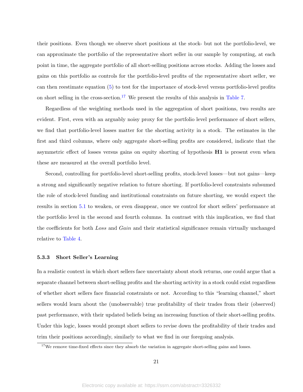their positions. Even though we observe short positions at the stock- but not the portfolio-level, we can approximate the portfolio of the representative short seller in our sample by computing, at each point in time, the aggregate portfolio of all short-selling positions across stocks. Adding the losses and gains on this portfolio as controls for the portfolio-level profits of the representative short seller, we can then reestimate equation [\(5\)](#page-19-1) to test for the importance of stock-level versus portfolio-level profits on short selling in the cross-section.<sup>[17](#page-2-0)</sup> We present the results of this analysis in Table [7.](#page-43-0)

Regardless of the weighting methods used in the aggregation of short positions, two results are evident. First, even with an arguably noisy proxy for the portfolio level performance of short sellers, we find that portfolio-level losses matter for the shorting activity in a stock. The estimates in the first and third columns, where only aggregate short-selling profits are considered, indicate that the asymmetric effect of losses versus gains on equity shorting of hypothesis H1 is present even when these are measured at the overall portfolio level.

Second, controlling for portfolio-level short-selling profits, stock-level losses—but not gains—keep a strong and significantly negative relation to future shorting. If portfolio-level constraints subsumed the role of stock-level funding and institutional constraints on future shorting, we would expect the results in section [5.1](#page-18-1) to weaken, or even disappear, once we control for short sellers' performance at the portfolio level in the second and fourth columns. In contrast with this implication, we find that the coefficients for both Loss and Gain and their statistical significance remain virtually unchanged relative to Table [4.](#page-40-0)

#### <span id="page-23-0"></span>5.3.3 Short Seller's Learning

In a realistic context in which short sellers face uncertainty about stock returns, one could argue that a separate channel between short-selling profits and the shorting activity in a stock could exist regardless of whether short sellers face financial constraints or not. According to this "learning channel," short sellers would learn about the (unobservable) true profitability of their trades from their (observed) past performance, with their updated beliefs being an increasing function of their short-selling profits. Under this logic, losses would prompt short sellers to revise down the profitability of their trades and trim their positions accordingly, similarly to what we find in our foregoing analysis.

 $^{17}\rm{We}$  remove time-fixed effects since they absorb the variation in aggregate short-selling gains and losses.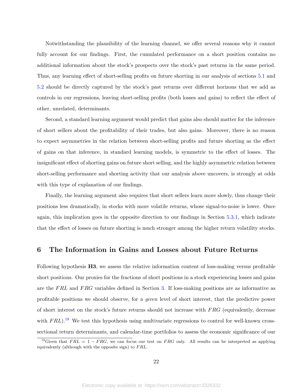Notwithstanding the plausibility of the learning channel, we offer several reasons why it cannot fully account for our findings. First, the cumulated performance on a short position contains no additional information about the stock's prospects over the stock's past returns in the same period. Thus, any learning effect of short-selling profits on future shorting in our analysis of sections [5.1](#page-18-1) and [5.2](#page-20-1) should be directly captured by the stock's past returns over different horizons that we add as controls in our regressions, leaving short-selling profits (both losses and gains) to reflect the effect of other, unrelated, determinants.

Second, a standard learning argument would predict that gains also should matter for the inference of short sellers about the profitability of their trades, but also gains. Moreover, there is no reason to expect asymmetries in the relation between short-selling profits and future shorting as the effect of gains on that inference, in standard learning models, is symmetric to the effect of losses. The insignificant effect of shorting gains on future short selling, and the highly asymmetric relation between short-selling performance and shorting activity that our analysis above uncovers, is strongly at odds with this type of explanation of our findings.

Finally, the learning argument also requires that short sellers learn more slowly, thus change their positions less dramatically, in stocks with more volatile returns, whose signal-to-noise is lower. Once again, this implication goes in the opposite direction to our findings in Section [5.3.1,](#page-21-0) which indicate that the effect of losses on future shorting is much stronger among the higher return volatility stocks.

### <span id="page-24-0"></span>6 The Information in Gains and Losses about Future Returns

Following hypothesis H3, we assess the relative information content of loss-making versus profitable short positions. Our proxies for the fractions of short positions in a stock experiencing losses and gains are the FRL and FRG variables defined in Section [3.](#page-11-0) If loss-making positions are as informative as profitable positions we should observe, for a given level of short interest, that the predictive power of short interest on the stock's future returns should not increase with F RG (equivalently, decrease with  $FRL$ ).<sup>[18](#page-2-0)</sup> We test this hypothesis using multivariate regressions to control for well-known crosssectional return determinants, and calendar-time portfolios to assess the economic significance of our

<sup>&</sup>lt;sup>18</sup>Given that  $FRL = 1 - FRG$ , we can focus our test on  $FRG$  only. All results can be interpreted as applying equivalently (although with the opposite sign) to  $FRL$ .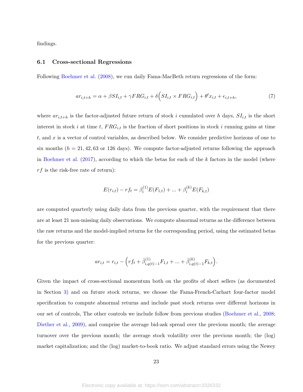findings.

#### 6.1 Cross-sectional Regressions

Following [Boehmer et al.](#page-30-6) [\(2008\)](#page-30-6), we run daily Fama-MacBeth return regressions of the form:

<span id="page-25-0"></span>
$$
ar_{i,t+h} = \alpha + \beta SI_{i,t} + \gamma FRG_{i,t} + \delta \left( SI_{i,t} \times FRG_{i,t} \right) + \theta' x_{i,t} + \epsilon_{i,t+h},\tag{7}
$$

where  $ar_{i,t+h}$  is the factor-adjusted future return of stock i cumulated over h days,  $SI_{i,t}$  is the short interest in stock i at time t,  $FRG_{i,t}$  is the fraction of short positions in stock i running gains at time t, and x is a vector of control variables, as described below. We consider predictive horizons of one to six months ( $h = 21, 42, 63$  or 126 days). We compute factor-adjusted returns following the approach in [Boehmer et al.](#page-30-7)  $(2017)$ , according to which the betas for each of the k factors in the model (where  $rf$  is the risk-free rate of return):

$$
E(r_{i,t}) - rf_t = \beta_i^{(1)} E(F_{1,t}) + \dots + \beta_i^{(k)} E(F_{k,t})
$$

are computed quarterly using daily data from the previous quarter, with the requirement that there are at least 21 non-missing daily observations. We compute abnormal returns as the difference between the raw returns and the model-implied returns for the corresponding period, using the estimated betas for the previous quarter:

$$
ar_{i,t} = r_{i,t} - \left( rf_t + \hat{\beta}_{i,q(t)-1}^{(1)} F_{1,t} + \dots + \hat{\beta}_{i,q(t)-1}^{(k)} F_{k,t} \right).
$$

Given the impact of cross-sectional momentum both on the profits of short sellers (as documented in Section [3\)](#page-11-0) and on future stock returns, we choose the Fama-French-Carhart four-factor model specification to compute abnormal returns and include past stock returns over different horizons in our set of controls, The other controls we include follow from previous studies [\(Boehmer et al.,](#page-30-6) [2008;](#page-30-6) [Diether et al.,](#page-31-0) [2009\)](#page-31-0), and comprise the average bid-ask spread over the previous month; the average turnover over the previous month; the average stock volatility over the previous month; the (log) market capitalization; and the (log) market-to-book ratio. We adjust standard errors using the Newey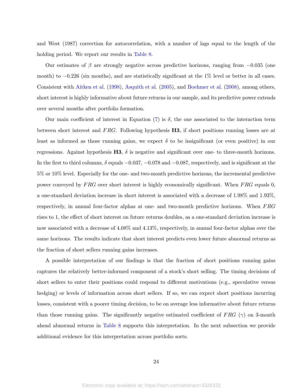and West (1987) correction for autocorrelation, with a number of lags equal to the length of the holding period. We report our results in Table [8.](#page-44-0)

Our estimates of  $\beta$  are strongly negative across predictive horizons, ranging from  $-0.035$  (one month) to  $-0.226$  (six months), and are statistically significant at the 1% level or better in all cases. Consistent with [Aitken et al.](#page-30-5) [\(1998\)](#page-30-5), [Asquith et al.](#page-30-10) [\(2005\)](#page-30-10), and [Boehmer et al.](#page-30-6) [\(2008\)](#page-30-6), among others, short interest is highly informative about future returns in our sample, and its predictive power extends over several months after portfolio formation.

Our main coefficient of interest in Equation [\(7\)](#page-25-0) is  $\delta$ , the one associated to the interaction term between short interest and  $FRG$ . Following hypothesis **H3**, if short positions running losses are at least as informed as those running gains, we expect  $\delta$  to be insignificant (or even positive) in our regressions. Against hypothesis  $H3$ ,  $\delta$  is negative and significant over one- to three-month horizons. In the first to third columns,  $\delta$  equals  $-0.037, -0.078$  and  $-0.087$ , respectively, and is significant at the 5% or 10% level. Especially for the one- and two-month predictive horizons, the incremental predictive power conveyed by FRG over short interest is highly economically significant. When FRG equals 0, a one-standard deviation increase in short interest is associated with a decrease of 1.98% and 1.93%, respectively, in annual four-factor alphas at one- and two-month predictive horizons. When FRG rises to 1, the effect of short interest on future returns doubles, as a one-standard deviation increase is now associated with a decrease of 4.08% and 4.13%, respectively, in annual four-factor alphas over the same horizons. The results indicate that short interest predicts even lower future abnormal returns as the fraction of short sellers running gains increases.

A possible interpretation of our findings is that the fraction of short positions running gains captures the relatively better-informed component of a stock's short selling. The timing decisions of short sellers to enter their positions could respond to different motivations (e.g., speculative versus hedging) or levels of information across short sellers. If so, we can expect short positions incurring losses, consistent with a poorer timing decision, to be on average less informative about future returns than those running gains. The significantly negative estimated coefficient of  $FRG$  ( $\gamma$ ) on 3-month ahead abnormal returns in Table [8](#page-44-0) supports this interpretation. In the next subsection we provide additional evidence for this interpretation across portfolio sorts.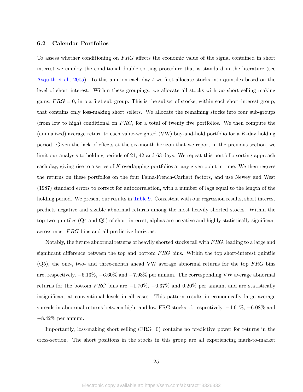#### 6.2 Calendar Portfolios

To assess whether conditioning on FRG affects the economic value of the signal contained in short interest we employ the conditional double sorting procedure that is standard in the literature (see [Asquith et al.,](#page-30-10) [2005\)](#page-30-10). To this aim, on each day  $t$  we first allocate stocks into quintiles based on the level of short interest. Within these groupings, we allocate all stocks with no short selling making gains,  $FRG = 0$ , into a first sub-group. This is the subset of stocks, within each short-interest group, that contains only loss-making short sellers. We allocate the remaining stocks into four sub-groups (from low to high) conditional on  $FRG$ , for a total of twenty five portfolios. We then compute the (annualized) average return to each value-weighted (VW) buy-and-hold portfolio for a K-day holding period. Given the lack of effects at the six-month horizon that we report in the previous section, we limit our analysis to holding periods of 21, 42 and 63 days. We repeat this portfolio sorting approach each day, giving rise to a series of K overlapping portfolios at any given point in time. We then regress the returns on these portfolios on the four Fama-French-Carhart factors, and use Newey and West (1987) standard errors to correct for autocorrelation, with a number of lags equal to the length of the holding period. We present our results in Table [9.](#page-45-0) Consistent with our regression results, short interest predicts negative and sizable abnormal returns among the most heavily shorted stocks. Within the top two quintiles (Q4 and Q5) of short interest, alphas are negative and highly statistically significant across most FRG bins and all predictive horizons.

Notably, the future abnormal returns of heavily shorted stocks fall with FRG, leading to a large and significant difference between the top and bottom  $FRG$  bins. Within the top short-interest quintile  $(Q5)$ , the one-, two- and three-month ahead VW average abnormal returns for the top FRG bins are, respectively, −6.13%, −6.60% and −7.93% per annum. The corresponding VW average abnormal returns for the bottom FRG bins are  $-1.70\%$ ,  $-0.37\%$  and  $0.20\%$  per annum, and are statistically insignificant at conventional levels in all cases. This pattern results in economically large average spreads in abnormal returns between high- and low-FRG stocks of, respectively,  $-4.61\%$ ,  $-6.08\%$  and −8.42% per annum.

Importantly, loss-making short selling (FRG=0) contains no predictive power for returns in the cross-section. The short positions in the stocks in this group are all experiencing mark-to-market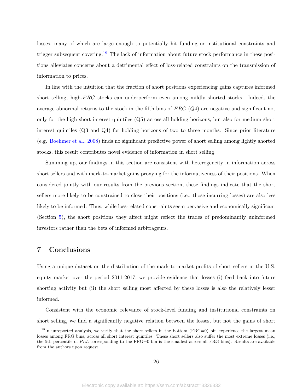losses, many of which are large enough to potentially hit funding or institutional constraints and trigger subsequent covering.<sup>[19](#page-2-0)</sup> The lack of information about future stock performance in these positions alleviates concerns about a detrimental effect of loss-related constraints on the transmission of information to prices.

In line with the intuition that the fraction of short positions experiencing gains captures informed short selling, high- $FRG$  stocks can underperform even among mildly shorted stocks. Indeed, the average abnormal returns to the stock in the fifth bins of  $FRG$  ( $Q4$ ) are negative and significant not only for the high short interest quintiles (Q5) across all holding horizons, but also for medium short interest quintiles (Q3 and Q4) for holding horizons of two to three months. Since prior literature (e.g. [Boehmer et al.,](#page-30-6) [2008\)](#page-30-6) finds no significant predictive power of short selling among lightly shorted stocks, this result contributes novel evidence of information in short selling.

Summing up, our findings in this section are consistent with heterogeneity in information across short sellers and with mark-to-market gains proxying for the informativeness of their positions. When considered jointly with our results from the previous section, these findings indicate that the short sellers more likely to be constrained to close their positions (i.e., those incurring losses) are also less likely to be informed. Thus, while loss-related constraints seem pervasive and economically significant (Section [5\)](#page-18-0), the short positions they affect might reflect the trades of predominantly uninformed investors rather than the bets of informed arbitrageurs.

### <span id="page-28-0"></span>7 Conclusions

Using a unique dataset on the distribution of the mark-to-market profits of short sellers in the U.S. equity market over the period 2011-2017, we provide evidence that losses (i) feed back into future shorting activity but (ii) the short selling most affected by these losses is also the relatively lesser informed.

Consistent with the economic relevance of stock-level funding and institutional constraints on short selling, we find a significantly negative relation between the losses, but not the gains of short

<sup>&</sup>lt;sup>19</sup>In unreported analysis, we verify that the short sellers in the bottom (FRG=0) bin experience the largest mean losses among FRG bins, across all short interest quintiles. These short sellers also suffer the most extreme losses (i.e., the 5th percentile of  $PnL$  corresponding to the FRG=0 bin is the smallest across all FRG bins). Results are available from the authors upon request.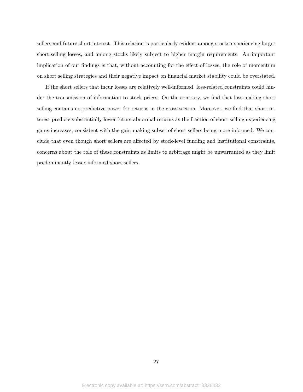sellers and future short interest. This relation is particularly evident among stocks experiencing larger short-selling losses, and among stocks likely subject to higher margin requirements. An important implication of our findings is that, without accounting for the effect of losses, the role of momentum on short selling strategies and their negative impact on financial market stability could be overstated.

If the short sellers that incur losses are relatively well-informed, loss-related constraints could hinder the transmission of information to stock prices. On the contrary, we find that loss-making short selling contains no predictive power for returns in the cross-section. Moreover, we find that short interest predicts substantially lower future abnormal returns as the fraction of short selling experiencing gains increases, consistent with the gain-making subset of short sellers being more informed. We conclude that even though short sellers are affected by stock-level funding and institutional constraints, concerns about the role of these constraints as limits to arbitrage might be unwarranted as they limit predominantly lesser-informed short sellers.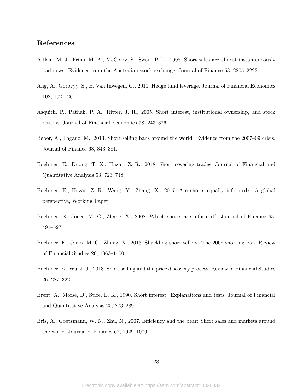# References

- <span id="page-30-5"></span>Aitken, M. J., Frino, M. A., McCorry, S., Swan, P. L., 1998. Short sales are almost instantaneously bad news: Evidence from the Australian stock exchange. Journal of Finance 53, 2205–2223.
- <span id="page-30-8"></span>Ang, A., Gorovyy, S., B. Van Inwegen, G., 2011. Hedge fund leverage. Journal of Financial Economics 102, 102–126.
- <span id="page-30-10"></span>Asquith, P., Pathak, P. A., Ritter, J. R., 2005. Short interest, institutional ownership, and stock returns. Journal of Financial Economics 78, 243–376.
- <span id="page-30-2"></span>Beber, A., Pagano, M., 2013. Short-selling bans around the world: Evidence from the 2007–09 crisis. Journal of Finance 68, 343–381.
- <span id="page-30-4"></span>Boehmer, E., Duong, T. X., Huzar, Z. R., 2018. Short covering trades. Journal of Financial and Quantitative Analysis 53, 723–748.
- <span id="page-30-7"></span>Boehmer, E., Huzar, Z. R., Wang, Y., Zhang, X., 2017. Are shorts equally informed? A global perspective, Working Paper.
- <span id="page-30-6"></span>Boehmer, E., Jones, M. C., Zhang, X., 2008. Which shorts are informed? Journal of Finance 63, 491–527.
- <span id="page-30-3"></span>Boehmer, E., Jones, M. C., Zhang, X., 2013. Shackling short sellers: The 2008 shorting ban. Review of Financial Studies 26, 1363–1400.
- <span id="page-30-9"></span>Boehmer, E., Wu, J. J., 2013. Short selling and the price discovery process. Review of Financial Studies 26, 287–322.
- <span id="page-30-0"></span>Brent, A., Morse, D., Stice, E. K., 1990. Short interest: Explanations and tests. Journal of Financial and Quantitative Analysis 25, 273–289.
- <span id="page-30-1"></span>Bris, A., Goetzmann, W. N., Zhu, N., 2007. Efficiency and the bear: Short sales and markets around the world. Journal of Finance 62, 1029–1079.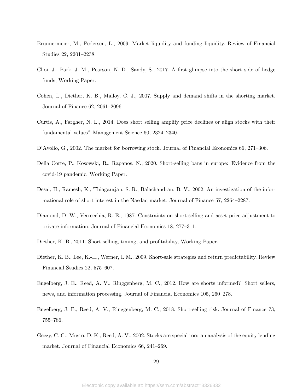- <span id="page-31-3"></span>Brunnermeier, M., Pedersen, L., 2009. Market liquidity and funding liquidity. Review of Financial Studies 22, 2201–2238.
- <span id="page-31-11"></span>Choi, J., Park, J. M., Pearson, N. D., Sandy, S., 2017. A first glimpse into the short side of hedge funds, Working Paper.
- <span id="page-31-12"></span>Cohen, L., Diether, K. B., Malloy, C. J., 2007. Supply and demand shifts in the shorting market. Journal of Finance 62, 2061–2096.
- <span id="page-31-1"></span>Curtis, A., Fargher, N. L., 2014. Does short selling amplify price declines or align stocks with their fundamental values? Management Science 60, 2324–2340.
- <span id="page-31-9"></span>D'Avolio, G., 2002. The market for borrowing stock. Journal of Financial Economics 66, 271–306.
- <span id="page-31-2"></span>Della Corte, P., Kosowski, R., Rapanos, N., 2020. Short-selling bans in europe: Evidence from the covid-19 pandemic, Working Paper.
- <span id="page-31-6"></span>Desai, H., Ramesh, K., Thiagarajan, S. R., Balachandran, B. V., 2002. An investigation of the informational role of short interest in the Nasdaq market. Journal of Finance 57, 2264–2287.
- <span id="page-31-5"></span>Diamond, D. W., Verrecchia, R. E., 1987. Constraints on short-selling and asset price adjustment to private information. Journal of Financial Economics 18, 277–311.
- <span id="page-31-10"></span>Diether, K. B., 2011. Short selling, timing, and profitability, Working Paper.
- <span id="page-31-0"></span>Diether, K. B., Lee, K.-H., Werner, I. M., 2009. Short-sale strategies and return predictability. Review Financial Studies 22, 575–607.
- <span id="page-31-7"></span>Engelberg, J. E., Reed, A. V., Ringgenberg, M. C., 2012. How are shorts informed? Short sellers, news, and information processing. Journal of Financial Economics 105, 260–278.
- <span id="page-31-8"></span>Engelberg, J. E., Reed, A. V., Ringgenberg, M. C., 2018. Short-selling risk. Journal of Finance 73, 755–786.
- <span id="page-31-4"></span>Geczy, C. C., Musto, D. K., Reed, A. V., 2002. Stocks are special too: an analysis of the equity lending market. Journal of Financial Economics 66, 241–269.

29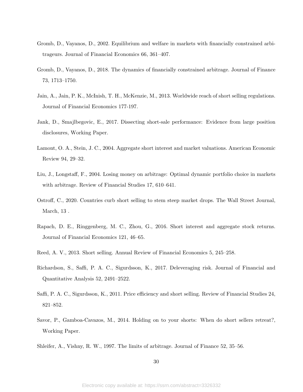- <span id="page-32-7"></span>Gromb, D., Vayanos, D., 2002. Equilibrium and welfare in markets with financially constrained arbitrageurs. Journal of Financial Economics 66, 361–407.
- <span id="page-32-2"></span>Gromb, D., Vayanos, D., 2018. The dynamics of financially constrained arbitrage. Journal of Finance 73, 1713–1750.
- <span id="page-32-5"></span>Jain, A., Jain, P. K., McInish, T. H., McKenzie, M., 2013. Worldwide reach of short selling regulations. Journal of Financial Economics 177-197.
- <span id="page-32-11"></span>Jank, D., Smajlbegovic, E., 2017. Dissecting short-sale performance: Evidence from large position disclosures, Working Paper.
- <span id="page-32-0"></span>Lamont, O. A., Stein, J. C., 2004. Aggregate short interest and market valuations. American Economic Review 94, 29–32.
- <span id="page-32-6"></span>Liu, J., Longstaff, F., 2004. Losing money on arbitrage: Optimal dynamic portfolio choice in markets with arbitrage. Review of Financial Studies 17, 610–641.
- <span id="page-32-1"></span>Ostroff, C., 2020. Countries curb short selling to stem steep market drops. The Wall Street Journal, March, 13 .
- <span id="page-32-9"></span>Rapach, D. E., Ringgenberg, M. C., Zhou, G., 2016. Short interest and aggregate stock returns. Journal of Financial Economics 121, 46–65.
- <span id="page-32-12"></span>Reed, A. V., 2013. Short selling. Annual Review of Financial Economics 5, 245–258.
- <span id="page-32-10"></span>Richardson, S., Saffi, P. A. C., Sigurdsson, K., 2017. Deleveraging risk. Journal of Financial and Quantitative Analysis 52, 2491–2522.
- <span id="page-32-4"></span>Saffi, P. A. C., Sigurdsson, K., 2011. Price efficiency and short selling. Review of Financial Studies 24, 821–852.
- <span id="page-32-8"></span>Savor, P., Gamboa-Cavazos, M., 2014. Holding on to your shorts: When do short sellers retreat?, Working Paper.
- <span id="page-32-3"></span>Shleifer, A., Vishny, R. W., 1997. The limits of arbitrage. Journal of Finance 52, 35–56.

30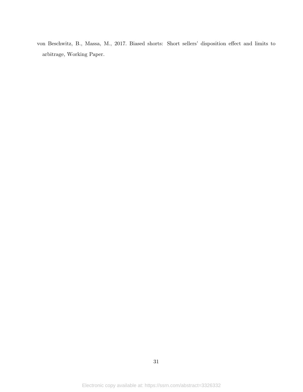<span id="page-33-0"></span>von Beschwitz, B., Massa, M., 2017. Biased shorts: Short sellers' disposition effect and limits to arbitrage, Working Paper.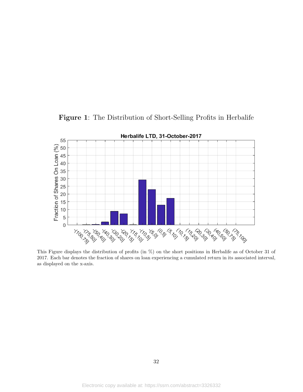<span id="page-34-0"></span>

Figure 1: The Distribution of Short-Selling Profits in Herbalife

This Figure displays the distribution of profits (in %) on the short positions in Herbalife as of October 31 of 2017. Each bar denotes the fraction of shares on loan experiencing a cumulated return in its associated interval, as displayed on the x-axis.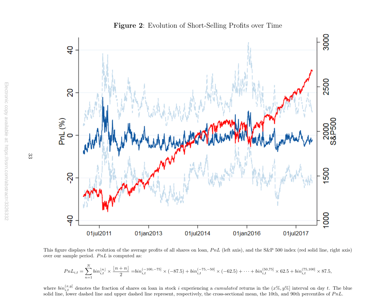

Figure 2: Evolution of Short-Selling Profits over Time

This figure displays the evolution of the average profits of all shares on loan,  $PnL$  (left axis), and the S&P 500 index (red solid line, right axis) over our sample period.  $P_{n}L$  is computed as:

$$
PnL_{i,t} = \sum_{n=1}^{N} bin_{i,t}^{\lfloor n \rfloor} \times \frac{\lfloor n+n \rfloor}{2} = bin_{i,t}^{(-100,-75)} \times (-87.5) + bin_{i,t}^{(-75,-50)} \times (-62.5) + \dots + bin_{i,t}^{(50,75)} \times 62.5 + bin_{i,t}^{(75,100)} \times 87.5,
$$

<span id="page-35-0"></span>where  $bin_{i,t}^{(x,y)}$  denotes the fraction of shares on loan in stock i experiencing a *cumulated* returns in the  $(x\%, y\%)$  interval on day t. The blue solid line, lower dashed line and upper dashed line represent, respectively, the cross-sectional mean, the 10th, and 90th percentiles of  $PnL$ .

33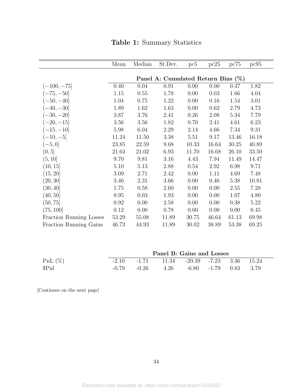<span id="page-36-0"></span>

|                                | Mean                                  | Median | St.Dev. | pc5   | pc25  | pc75  | pc95  |  |  |
|--------------------------------|---------------------------------------|--------|---------|-------|-------|-------|-------|--|--|
|                                |                                       |        |         |       |       |       |       |  |  |
|                                | Panel A: Cumulated Return Bins $(\%)$ |        |         |       |       |       |       |  |  |
| $(-100, -75]$                  | 0.40                                  | 0.04   | 0.91    | 0.00  | 0.00  | 0.47  | 1.82  |  |  |
| $(-75, -50]$                   | 1.15                                  | 0.55   | 1.78    | 0.00  | 0.03  | 1.66  | 4.04  |  |  |
| $(-50, -40]$                   | 1.04                                  | 0.75   | 1.22    | 0.00  | 0.16  | 1.54  | 3.01  |  |  |
| $(-40, -30]$                   | 1.89                                  | 1.62   | 1.63    | 0.00  | 0.62  | 2.79  | 4.73  |  |  |
| $(-30, -20]$                   | 3.87                                  | 3.76   | 2.41    | 0.26  | 2.08  | 5.34  | 7.79  |  |  |
| $(-20, -15]$                   | 3.56                                  | 3.56   | 1.82    | 0.70  | 2.41  | 4.61  | 6.23  |  |  |
| $(-15,-10]$                    | 5.98                                  | 6.04   | 2.29    | 2.14  | 4.66  | 7.34  | 9.31  |  |  |
| $(-10, -5]$                    | 11.24                                 | 11.50  | 3.38    | 5.51  | 9.17  | 13.46 | 16.18 |  |  |
| $(-5, 0]$                      | 23.85                                 | 22.59  | 9.68    | 10.33 | 16.64 | 30.25 | 40.89 |  |  |
| (0, 5]                         | 21.64                                 | 21.02  | 6.93    | 11.70 | 16.68 | 26.10 | 33.50 |  |  |
| (5, 10]                        | 9.70                                  | 9.81   | 3.16    | 4.43  | 7.94  | 11.49 | 14.47 |  |  |
| (10, 15]                       | 5.10                                  | 5.13   | 2.88    | 0.54  | 2.92  | 6.98  | 9.71  |  |  |
| (15, 20)                       | 3.09                                  | 2.71   | 2.42    | 0.00  | 1.11  | 4.69  | 7.48  |  |  |
| (20, 30]                       | 3.46                                  | 2.31   | 3.66    | 0.00  | 0.46  | 5.38  | 10.81 |  |  |
| (30, 40]                       | 1.75                                  | 0.58   | 2.60    | 0.00  | 0.00  | 2.55  | 7.28  |  |  |
| (40, 50]                       | $0.95\,$                              | 0.03   | 1.93    | 0.00  | 0.00  | 1.07  | 4.80  |  |  |
| (50, 75]                       | 0.92                                  | 0.00   | 2.58    | 0.00  | 0.00  | 0.38  | 5.22  |  |  |
| (75, 100]                      | 0.12                                  | 0.00   | 0.78    | 0.00  | 0.00  | 0.00  | 0.45  |  |  |
| <b>Fraction Running Losses</b> | 53.29                                 | 55.08  | 11.89   | 30.75 | 46.64 | 61.13 | 69.98 |  |  |
| Fraction Running Gains         | 46.73                                 | 44.93  | 11.89   | 30.02 | 38.89 | 53.38 | 69.25 |  |  |

| <b>Table 1:</b> Summary Statistics |  |  |
|------------------------------------|--|--|
|------------------------------------|--|--|

|            | Panel B: Gains and Losses |                                                         |  |  |  |  |  |  |
|------------|---------------------------|---------------------------------------------------------|--|--|--|--|--|--|
| PnL $(\%)$ |                           | $-2.10$ $-1.71$ $11.34$ $-20.39$ $-7.23$ $3.36$ $15.24$ |  |  |  |  |  |  |
| $\P$ nl    |                           | $-0.79$ $-0.26$ $4.26$ $-6.80$ $-1.79$ $0.83$ $3.79$    |  |  |  |  |  |  |

[Continues on the next page]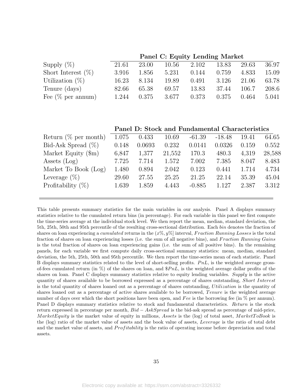|                       |       |       | Panel C: Equity Lending Market |       |       |       |       |
|-----------------------|-------|-------|--------------------------------|-------|-------|-------|-------|
| Supply $(\%)$         | 21.61 | 23.00 | 10.56                          | 2.102 | 13.83 | 29.63 | 36.97 |
| Short Interest $(\%)$ | 3.916 | 1.856 | 5.231                          | 0.144 | 0.759 | 4.833 | 15.09 |
| Utilization $(\%)$    | 16.23 | 8.134 | 19.89                          | 0.491 | 3.126 | 21.06 | 63.78 |
| Tenure (days)         | 82.66 | 65.38 | 69.57                          | 13.83 | 37.44 | 106.7 | 208.6 |
| Fee $(\%$ per annum)  | 1.244 | 0.375 | 3.677                          | 0.373 | 0.375 | 0.464 | 5.041 |

Panel D: Stock and Fundamental Characteristics

| Return $(\%$ per month)     | 1.075 | 0.433  | 10.69  | $-61.39$ | $-18.48$ | 19.41 | 64.65  |
|-----------------------------|-------|--------|--------|----------|----------|-------|--------|
| Bid-Ask Spread $(\%)$       | 0.148 | 0.0693 | 0.232  | 0.0141   | 0.0326   | 0.159 | 0.552  |
| Market Equity $(\text{Im})$ | 6,847 | 1,377  | 21,552 | 170.3    | 480.3    | 4,319 | 28,588 |
| Assets $(Log)$              | 7.725 | 7.714  | 1.572  | 7.002    | 7.385    | 8.047 | 8.483  |
| Market To Book (Log)        | 1.480 | 0.894  | 2.042  | 0.123    | 0.441    | 1.714 | 4.734  |
| Leverage $(\%)$             | 29.60 | 27.55  | 25.25  | 21.25    | 22.14    | 35.39 | 45.04  |
| Profitability $(\%)$        | 1.639 | 1.859  | 4.443  | $-0.885$ | 1.127    | 2.387 | 3.312  |
|                             |       |        |        |          |          |       |        |

This table presents summary statistics for the main variables in our analysis. Panel A displays summary statistics relative to the cumulated return bins (in percentage). For each variable in this panel we first compute the time-series average at the individual stock level. We then report the mean, median, standard deviation, the 5th, 25th, 50th and 95th percentile of the resulting cross-sectional distribution. Each bin denotes the fraction of shares on loan experiencing a *cumulated* returns in the  $(x\%, y\%)$  interval, Fraction Running Losses is the total fraction of shares on loan experiencing losses (i.e. the sum of all negative bins), and Fraction Running Gains is the total fraction of shares on loan experiencing gains (i.e. the sum of all positive bins). In the remaining panels, for each variable we first compute daily cross-sectional summary statistics: mean, median, standard deviation, the 5th, 25th, 50th and 95th percentile. We then report the time-series mean of each statistic. Panel B displays summary statistics related to the level of short-selling profits.  $PnL$ , is the weighted average grossof-fees cumulated return (in %) of the shares on loan, and  $\$PnL$ , is the weighted average dollar profits of the shares on loan. Panel C displays summary statistics relative to equity lending variables. Supply is the active quantity of shares available to be borrowed expressed as a percentage of shares outstanding, Short Interest is the total quantity of shares loaned out as a percentage of shares outstanding, Utilization is the quantity of shares loaned out as a percentage of active shares available to be borrowed, Tenure is the weighted average number of days over which the short positions have been open, and Fee is the borrowing fee (in  $\%$  per annum). Panel D displays summary statistics relative to stock and fundamental characteristics. Return is the stock return expressed in percentage per month,  $Bid - AskSpread$  is the bid-ask spread as percentage of mid-price, MarketEquity is the market value of equity in millions, Assets is the (log) of total asset, MarketToBook is the (log) ratio of the market value of assets and the book value of assets, Leverage is the ratio of total debt and the market value of assets, and *Profitability* is the ratio of operating income before depreciation and total assets.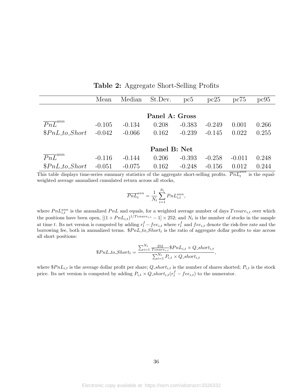<span id="page-38-0"></span>

|                        | Mean     | Median   | St.Dev.        | pc5      | pc25     | pc75     | pc95  |
|------------------------|----------|----------|----------------|----------|----------|----------|-------|
|                        |          |          |                |          |          |          |       |
|                        |          |          | Panel A: Gross |          |          |          |       |
| $\overline{PnL}^{ann}$ | $-0.105$ | $-0.134$ | 0.208          | $-0.383$ | $-0.249$ | 0.001    | 0.266 |
| $$PnL_to\_Short$       | $-0.042$ | $-0.066$ | 0.162          | $-0.239$ | $-0.145$ | 0.022    | 0.255 |
|                        |          |          |                |          |          |          |       |
|                        |          |          | Panel B: Net   |          |          |          |       |
| $\overline{PnL}^{ann}$ | $-0.116$ | $-0.144$ | 0.206          | $-0.393$ | $-0.258$ | $-0.011$ | 0.248 |
| $$PnL_to\_Short$       | $-0.051$ | $-0.075$ | 0.162          | $-0.248$ | $-0.156$ | 0.012    | 0.244 |

<span id="page-38-1"></span>Table 2: Aggregate Short-Selling Profits

This table displays time-series summary statistics of the aggregate short-selling profits.  $\overline{PnL}^{ann}_t$  is the equalweighted average annualized cumulated return across all stocks,

$$
\overline{PnL}_t^{ann} = \frac{1}{N_t} \sum_{i=1}^{N_t} PnL_{i,t}^{ann},
$$

where  $PnL_{i,t}^{ann}$  is the annualized  $PnL$  and equals, for a weighted average number of days  $Tenure_{i,t}$  over which the positions have been open,  $[(1+PnL_{i,t})^{1/Tenure_{i,t}}-1] \times 252$ ; and  $N_t$  is the number of stocks in the sample at time t. Its net version is computed by adding  $r_t^f - fee_{i,t}$  where  $r_t^f$  and  $fee_{i,t}$  denote the risk-free rate and the borrowing fee, both in annualized terms.  $$PnL_to\_Short_t$$  is the ratio of aggregate dollar profits to size across all short positions:

$$
\$PnL\_to\_Short_t = \frac{\sum_{i=1}^{N_t} \frac{252}{Tenure_{i,t}} \$PnL_{i,t} \times Q\_short_{i,t}}{\sum_{i=1}^{N_t} P_{i,t} \times Q\_short_{i,t}},
$$

where  $$PnL_{i,t}$$  is the average dollar profit per share;  $Q\_short_{i,t}$  is the number of shares shorted;  $P_{i,t}$  is the stock price. Its net version is computed by adding  $P_{i,t} \times Q\_short_{i,t}(r_t^f - fee_{i,t})$  to the numerator.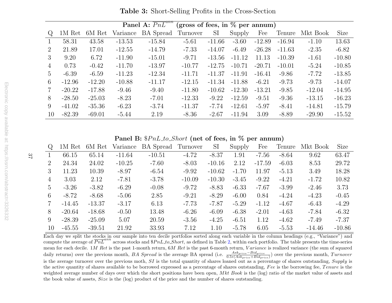|                | <b>Panel A:</b> $\overline{PnL}^{ann}$<br>(gross of fees, in $\%$ per annum) |          |          |                  |          |           |          |          |          |          |          |
|----------------|------------------------------------------------------------------------------|----------|----------|------------------|----------|-----------|----------|----------|----------|----------|----------|
| $\mathcal{Q}$  | 1M Ret                                                                       | 6M Ret   | Variance | <b>BA</b> Spread | Turnover | <b>SI</b> | Supply   | Fee      | Tenure   | Mkt Book | Size     |
|                | 58.31                                                                        | 43.58    | $-13.53$ | $-15.84$         | $-5.61$  | $-11.66$  | $-3.60$  | $-12.89$ | $-16.94$ | $-1.10$  | 13.63    |
| 2              | 21.89                                                                        | 17.01    | $-12.55$ | $-14.79$         | $-7.33$  | $-14.07$  | $-6.49$  | $-26.28$ | $-11.63$ | $-2.35$  | $-6.82$  |
| 3              | 9.20                                                                         | 6.72     | $-11.90$ | $-15.01$         | $-9.71$  | $-13.56$  | $-11.12$ | 11.13    | $-10.39$ | $-1.61$  | $-10.80$ |
| $\overline{4}$ | 0.73                                                                         | $-0.42$  | $-11.70$ | $-13.97$         | $-10.77$ | $-12.75$  | $-10.71$ | $-20.71$ | $-10.01$ | $-5.24$  | $-10.85$ |
| 5              | $-6.39$                                                                      | $-6.59$  | $-11.23$ | $-12.34$         | $-11.71$ | $-11.37$  | $-11.91$ | $-16.41$ | $-9.86$  | $-7.72$  | $-13.85$ |
| 6              | $-12.96$                                                                     | $-12.20$ | $-10.88$ | $-11.17$         | $-12.15$ | $-11.34$  | $-11.88$ | $-6.21$  | $-9.73$  | $-9.73$  | $-14.07$ |
| 7              | $-20.22$                                                                     | $-17.88$ | $-9.46$  | $-9.40$          | $-11.80$ | $-10.62$  | $-12.30$ | $-13.21$ | $-9.85$  | $-12.04$ | $-14.95$ |
| 8              | $-28.50$                                                                     | $-25.03$ | $-8.23$  | $-7.01$          | $-12.33$ | $-9.22$   | $-12.59$ | $-9.51$  | $-9.36$  | $-13.15$ | $-16.23$ |
| 9              | $-41.02$                                                                     | $-35.36$ | $-6.23$  | $-3.74$          | $-11.37$ | $-7.74$   | $-12.61$ | $-5.97$  | $-8.41$  | $-14.81$ | $-15.79$ |
| 10             | $-82.39$                                                                     | $-69.01$ | $-5.44$  | 2.19             | $-8.36$  | $-2.67$   | $-11.94$ | 3.09     | $-8.89$  | $-29.90$ | $-15.52$ |

Table 3: Short-Selling Profits in the Cross-Section

 $\textbf{Panel B: } \$P n L\_to\_Short \text{ (net of fees, in % per annum)}$ 

| Q              | 1M Ret   | 6M Ret   | Variance | <b>BA</b> Spread | Turnover | <b>SI</b> | Supply  | Fee      | Tenure  | Mkt Book | Size     |
|----------------|----------|----------|----------|------------------|----------|-----------|---------|----------|---------|----------|----------|
|                | 66.15    | 65.14    | $-11.64$ | $-10.51$         | $-4.72$  | $-8.37$   | 1.91    | $-7.56$  | $-8.64$ | 9.62     | 63.47    |
| $\overline{2}$ | 24.34    | 24.02    | $-10.25$ | $-7.60$          | $-8.03$  | $-10.16$  | 2.12    | $-17.59$ | $-6.03$ | 8.53     | 29.72    |
| 3              | 11.23    | 10.39    | $-8.97$  | $-6.54$          | $-9.92$  | $-10.62$  | $-1.70$ | 11.97    | $-5.13$ | 3.49     | 18.28    |
| 4              | 3.03     | 2.12     | $-7.81$  | $-3.78$          | $-10.09$ | $-10.30$  | $-3.45$ | $-9.22$  | $-4.21$ | $-1.72$  | 10.82    |
| $5^{\circ}$    | $-3.26$  | $-3.82$  | $-6.29$  | $-0.08$          | $-9.72$  | $-8.83$   | $-6.33$ | $-7.67$  | $-3.99$ | $-2.46$  | 3.73     |
| 6              | $-8.72$  | $-8.68$  | $-5.06$  | 2.85             | $-9.21$  | $-8.29$   | $-6.00$ | 0.84     | $-4.24$ | $-4.23$  | $-0.45$  |
| $\overline{7}$ | $-14.45$ | $-13.37$ | $-3.17$  | 6.13             | $-7.73$  | $-7.87$   | $-5.29$ | $-1.12$  | $-4.67$ | $-6.43$  | $-4.29$  |
| 8              | $-20.64$ | $-18.68$ | $-0.50$  | 13.48            | $-6.26$  | $-6.09$   | $-6.38$ | $-2.01$  | $-4.63$ | $-7.84$  | $-6.32$  |
| 9              | $-28.39$ | $-25.09$ | 5.07     | 20.59            | $-3.56$  | $-4.25$   | $-6.51$ | 1.12     | $-4.62$ | $-7.49$  | $-7.37$  |
| 10             | $-45.55$ | $-39.51$ | 21.92    | 33.93            | 7.12     | 1.10      | $-5.78$ | 6.05     | $-5.53$ | $-14.46$ | $-10.86$ |

<span id="page-39-0"></span> Each day we split the stocks in our sample into ten decile portfolios sorted along each variable in the column headings (e.g., "Variance") andcompute the average of  $\overline{PnL}^{ann}$  across stocks and  $$PnL_to-Short$ , as defined in Table [2,](#page-38-1) within each portfolio. The table presents the time-series mean for each decile. 1*M Ret* is the past 1-month return,  $6M$  Ret is the past 6-month return,  $Variance$  is realized variance (the sum of squared daily returns) over the previous month, BA Spread is the average BA spread (i.e.  $\frac{Ask_{price}-Bid_{price}}{0.5*(Ask_{price}+Bid_{price})}$ ) over the previous month, Turnover is the average turnover over the previous moth,  $SI$  is the total quantity of shares loaned out as a percentage of shares outstanding,  $Supply$  is the active quantity of shares available to be borrowed expressed as a percentage of shares outstanding, Fee is the borrowing fee, Tenure is the weighted average number of days over which the short positions have been open, Mkt Book is the (log) ratio of the market value of assets and the book value of assets, Size is the (log) product of the price and the number of shares outstanding.

37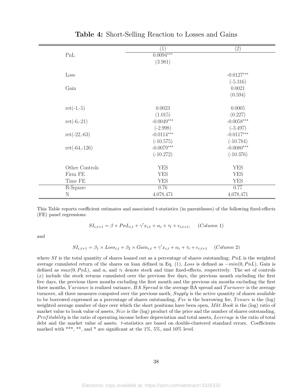<span id="page-40-0"></span>

|                 | $\overline{1}$ | (2)          |
|-----------------|----------------|--------------|
| PnL             | $0.0094***$    |              |
|                 | (3.981)        |              |
|                 |                |              |
| Loss            |                | $-0.0127***$ |
|                 |                | $(-5.316)$   |
| Gain            |                | 0.0021       |
|                 |                | (0.594)      |
|                 |                |              |
| $ret(-1,-5)$    | 0.0023         | 0.0005       |
|                 | (1.015)        | (0.227)      |
| $ret(-6,-21)$   | $-0.0049***$   | $-0.0058***$ |
|                 | $(-2.998)$     | $(-3.497)$   |
| $ret(-22,-63)$  | $-0.0114***$   | $-0.0117***$ |
|                 | $(-10.575)$    | $(-10.784)$  |
| $ret(-64,-126)$ | $-0.0079***$   | $-0.0080***$ |
|                 | $(-10.272)$    | $(-10.376)$  |
|                 |                |              |
| Other Controls  | <b>YES</b>     | <b>YES</b>   |
| Firm FE         | <b>YES</b>     | <b>YES</b>   |
| Time FE         | <b>YES</b>     | <b>YES</b>   |
| R-Square        | 0.76           | 0.77         |
| $\rm N$         | 4,078,471      | 4,078,471    |
|                 |                |              |

Table 4: Short-Selling Reaction to Losses and Gains

This Table reports coefficient estimates and associated t-statistics (in parentheses) of the following fixed-effects (FE) panel regressions:

$$
SI_{i,t+1} = \beta \times PnL_{i,t} + \gamma'x_{i,t} + \alpha_i + \tau_t + \epsilon_{i,t+1}, \quad (Column\ 1)
$$

and

$$
SI_{i,t+1} = \beta_1 \times Loss_{i,t} + \beta_2 \times Gain_{i,t} + \gamma' x_{i,t} + \alpha_i + \tau_t + \epsilon_{i,t+1} \quad (Column 2)
$$

where  $SI$  is the total quantity of shares loaned out as a percentage of shares outstanding;  $PnL$  is the weighted average cumulated return of the shares on loan defined in Eq. [\(1\)](#page-12-0), Loss is defined as  $-min(0, PnL)$ , Gain is defined as  $max(0, PnL)$ , and  $a_i$  and  $\tau_t$  denote stock and time fixed-effects, respectively. The set of controls  $(x)$  include the stock returns cumulated over the previous five days, the previous month excluding the first five days, the previous three months excluding the first month and the previous six months excluding the first three months, Variance is realized variance,  $BA$  Spread is the average BA spread and  $Turnover$  is the average turnover, all three measures computed over the previous moth, Supply is the active quantity of shares available to be borrowed expressed as a percentage of shares outstanding, Fee is the borrowing fee, Tenure is the  $(\log)$ weighted average number of days over which the short positions have been open,  $Mkt$  Book is the (log) ratio of market value to book value of assets, Size is the (log) product of the price and the number of shares outstanding, Profitability is the ratio of operating income before depreciation and total assets, Leverage is the ratio of total debt and the market value of assets. t-statistics are based on double-clustered standard errors. Coefficients marked with \*\*\*, \*\*, and \* are significant at the  $1\%$ ,  $5\%$ , and  $10\%$  level.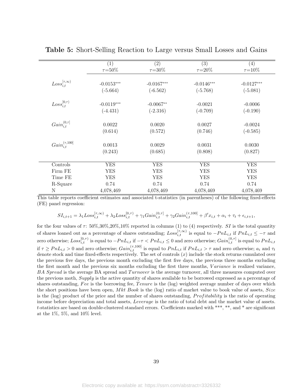<span id="page-41-0"></span>

|                              | (1)           | (2)           | (3)           | (4)           |
|------------------------------|---------------|---------------|---------------|---------------|
|                              | $\tau = 50\%$ | $\tau = 30\%$ | $\tau = 20\%$ | $\tau = 10\%$ |
|                              |               |               |               |               |
| $Loss_{i,t}^{[\tau,\infty)}$ | $-0.0153***$  | $-0.0167***$  | $-0.0146***$  | $-0.0127***$  |
|                              | $(-5.664)$    | $(-6.562)$    | $(-5.768)$    | $(-5.081)$    |
| $Loss_{i}^{[0,\tau)}$        | $-0.0119***$  | $-0.0067**$   | $-0.0021$     | $-0.0006$     |
|                              | $(-4.431)$    | $(-2.316)$    | $(-0.709)$    | $(-0.190)$    |
| $Gain_{i,t}^{(0,\tau]}$      | 0.0022        | 0.0020        | 0.0027        | $-0.0024$     |
|                              | (0.614)       | (0.572)       | (0.746)       | $(-0.585)$    |
| $Gain_{i,t}^{(\tau,100]}$    | 0.0013        | 0.0029        | 0.0031        | 0.0030        |
|                              | (0.243)       | (0.685)       | (0.808)       | (0.827)       |
| Controls                     | <b>YES</b>    | <b>YES</b>    | <b>YES</b>    | <b>YES</b>    |
| Firm FE                      | <b>YES</b>    | <b>YES</b>    | <b>YES</b>    | <b>YES</b>    |
| Time FE                      | <b>YES</b>    | <b>YES</b>    | <b>YES</b>    | <b>YES</b>    |
| R-Square                     | 0.74          | 0.74          | 0.74          | 0.74          |
| N                            | 4,078,469     | 4,078,469     | 4,078,469     | 4,078,469     |

Table 5: Short-Selling Reaction to Large versus Small Losses and Gains

This table reports coefficient estimates and associated t-statistics (in parentheses) of the following fixed-effects (FE) panel regression:

$$
SI_{i,t+1} = \lambda_1 Loss_{i,t}^{[\tau,\infty)} + \lambda_2 Loss_{i,t}^{[0,\tau)} + \gamma_1 Gain_{i,t}^{(0,\tau)} + \gamma_2 Gain_{i,t}^{(\tau,100)} + \beta' x_{i,t} + \alpha_i + \tau_t + \epsilon_{i,t+1},
$$

for the four values of  $\tau$ : 50%,30%,20%,10% reported in columns (1) to (4) respectively. SI is the total quantity of shares loaned out as a percentage of shares outstanding;  $Loss_{i,t}^{[\tau,\infty)}$  is equal to  $-PnL_{i,t}$  if  $PnL_{i,t} \leq -\tau$  and zero otherwise;  $Loss_{i,t}^{[0,\tau)}$  is equal to  $-PnL_{i,t}$  if  $-\tau < PnL_{i,t} \leq 0$  and zero otherwise;  $Gain_{i,t}^{(0,\tau)}$  is equal to  $PnL_{i,t}$ if  $\tau \geq P n L_{i,t} > 0$  and zero otherwise;  $Gain_{i,t}^{(\tau,100]}$  is equal to  $P n L_{i,t}$  if  $P n L_{i,t} > \tau$  and zero otherwise;  $a_i$  and  $\tau_t$ denote stock and time fixed-effects respectively. The set of controls  $(x)$  include the stock returns cumulated over the previous five days, the previous month excluding the first five days, the previous three months excluding the first month and the previous six months excluding the first three months, *Variance* is realized variance, BA Spread is the average BA spread and Turnover is the average turnover, all three measures computed over the previous moth, Supply is the active quantity of shares available to be borrowed expressed as a percentage of shares outstanding, Fee is the borrowing fee, Tenure is the (log) weighted average number of days over which the short positions have been open, Mkt Book is the (log) ratio of market value to book value of assets,  $Size$ is the  $(log)$  product of the price and the number of shares outstanding, *Profitability* is the ratio of operating income before depreciation and total assets, Leverage is the ratio of total debt and the market value of assets. t-statistics are based on double-clustered standard errors. Coefficients marked with \*\*\*, \*\*, and \* are significant at the  $1\%$ ,  $5\%$ , and  $10\%$  level.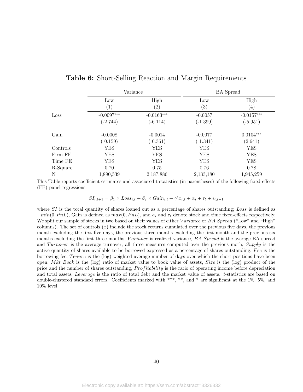<span id="page-42-0"></span>

|          |                   | Variance          |                   | <b>BA</b> Spread  |
|----------|-------------------|-------------------|-------------------|-------------------|
|          | Low               | High              | Low               | High              |
|          | $\left( 1\right)$ | $\left( 2\right)$ | $\left( 3\right)$ | $\left( 4\right)$ |
| Loss     | $-0.0097***$      | $-0.0163***$      | $-0.0057$         | $-0.0157***$      |
|          | $(-2.744)$        | $(-6.114)$        | $(-1.399)$        | $(-5.951)$        |
| Gain     | $-0.0008$         | $-0.0014$         | $-0.0077$         | $0.0104***$       |
|          | $(-0.159)$        | $(-0.361)$        | $(-1.341)$        | (2.641)           |
| Controls | <b>YES</b>        | <b>YES</b>        | <b>YES</b>        | <b>YES</b>        |
| Firm FE  | <b>YES</b>        | <b>YES</b>        | <b>YES</b>        | <b>YES</b>        |
| Time FE  | <b>YES</b>        | <b>YES</b>        | <b>YES</b>        | <b>YES</b>        |
| R-Square | 0.70              | 0.75              | 0.76              | 0.78              |
| N        | 1,890,539         | 2,187,886         | 2,133,180         | 1,945,259         |

|  |  |  |  | <b>Table 6:</b> Short-Selling Reaction and Margin Requirements |
|--|--|--|--|----------------------------------------------------------------|
|--|--|--|--|----------------------------------------------------------------|

This Table reports coefficient estimates and associated t-statistics (in parentheses) of the following fixed-effects (FE) panel regressions:

 $SI_{i,t+1} = \beta_1 \times Loss_{i,t} + \beta_2 \times Gain_{i,t} + \gamma' x_{i,t} + \alpha_i + \tau_t + \epsilon_{i,t+1}$ 

where SI is the total quantity of shares loaned out as a percentage of shares outstanding; Loss is defined as  $-min(0, PhL)$ , Gain is defined as  $max(0, PhL)$ , and  $a_i$  and  $\tau_t$  denote stock and time fixed-effects respectively. We split our sample of stocks in two based on their values of either Variance or BA Spread ("Low" and "High" columns). The set of controls  $(x)$  include the stock returns cumulated over the previous five days, the previous month excluding the first five days, the previous three months excluding the first month and the previous six months excluding the first three months, *Variance* is realized variance, *BA Spread* is the average BA spread and Turnover is the average turnover, all three measures computed over the previous moth, Supply is the active quantity of shares available to be borrowed expressed as a percentage of shares outstanding, Fee is the borrowing fee, Tenure is the (log) weighted average number of days over which the short positions have been open, Mkt Book is the (log) ratio of market value to book value of assets, Size is the (log) product of the price and the number of shares outstanding, *Profitability* is the ratio of operating income before depreciation and total assets, Leverage is the ratio of total debt and the market value of assets. t-statistics are based on double-clustered standard errors. Coefficients marked with \*\*\*, \*\*, and \* are significant at the 1%, 5%, and 10% level.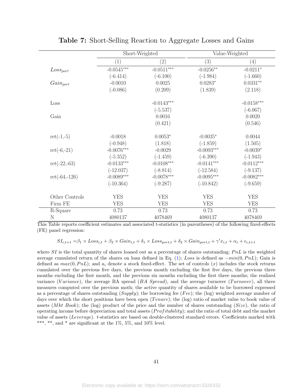<span id="page-43-0"></span>

|                 | Short-Weighted |              | Value-Weighted |              |
|-----------------|----------------|--------------|----------------|--------------|
|                 | (1)            | (2)          | (3)            | (4)          |
| $Loss_{port}$   | $-0.0545***$   | $-0.0511***$ | $-0.0256**$    | $-0.0211*$   |
|                 | $(-6.414)$     | $(-6.100)$   | $(-1.984)$     | $(-1.660)$   |
| $Gain_{port}$   | $-0.0010$      | 0.0025       | $0.0283*$      | $0.0331**$   |
|                 | $(-0.086)$     | (0.209)      | (1.839)        | (2.118)      |
| Loss            |                | $-0.0143***$ |                | $-0.0158***$ |
|                 |                | $(-5.537)$   |                | $(-6.067)$   |
| Gain            |                | 0.0016       |                | 0.0020       |
|                 |                | (0.421)      |                | (0.546)      |
| $ret(-1,-5)$    | $-0.0018$      | $0.0053*$    | $-0.0035*$     | 0.0044       |
|                 | $(-0.948)$     | (1.818)      | $(-1.859)$     | (1.505)      |
| $ret(-6,-21)$   | $-0.0076***$   | $-0.0029$    | $-0.0093***$   | $-0.0039*$   |
|                 | $(-5.352)$     | $(-1.459)$   | $(-6.390)$     | $(-1.943)$   |
| $ret(-22,-63)$  | $-0.0133***$   | $-0.0108***$ | $-0.0141***$   | $-0.0112***$ |
|                 | $(-12.037)$    | $(-8.814)$   | $(-12.584)$    | $(-9.137)$   |
| $ret(-64,-126)$ | $-0.0089***$   | $-0.0078***$ | $-0.0095***$   | $-0.0082***$ |
|                 | $(-10.364)$    | $(-9.287)$   | $(-10.842)$    | $(-9.659)$   |
| Other Controls  | <b>YES</b>     | <b>YES</b>   | <b>YES</b>     | <b>YES</b>   |
| Firm FE         | <b>YES</b>     | <b>YES</b>   | <b>YES</b>     | <b>YES</b>   |
| R-Square        | 0.73           | 0.73         | 0.73           | 0.73         |
| N               | 4080137        | 4078469      | 4080137        | 4078469      |

Table 7: Short-Selling Reaction to Aggregate Losses and Gains

This Table reports coefficient estimates and associated t-statistics (in parentheses) of the following fixed-effects (FE) panel regression:

 $SI_{i,t+1} = \beta_1 \times Loss_{i,t} + \beta_2 \times Gain_{i,t} + \delta_1 \times Loss_{port,t} + \delta_2 \times Gain_{port,t} + \gamma' x_{i,t} + \alpha_i + \epsilon_{i,t+1}$ 

where SI is the total quantity of shares loaned out as a percentage of shares outstanding;  $PnL$  is the weighted average cumulated return of the shares on loan defined in Eq. [\(1\)](#page-12-0); Loss is defined as  $-min(0, PnL)$ ; Gain is defined as  $max(0, PnL)$ ; and  $a_i$  denote a stock fixed-effect. The set of controls  $(x)$  includes the stock returns cumulated over the previous five days, the previous month excluding the first five days, the previous three months excluding the first month, and the previous six months excluding the first three months; the realized variance (Variance), the average BA spread ( $BA$  Spread), and the average turnover (Turnover), all three measures computed over the previous moth; the active quantity of shares available to be borrowed expressed as a percentage of shares outstanding  $(Supply)$ ; the borrowing fee (Fee); the (log) weighted average number of days over which the short positions have been open  $(Tenure)$ ; the (log) ratio of market value to book value of assets (*Mkt Book*); the (log) product of the price and the number of shares outstanding (*Size*), the ratio of operating income before depreciation and total assets  $(Profitability)$ ; and the ratio of total debt and the market value of assets (Leverage). t-statistics are based on double-clustered standard errors. Coefficients marked with \*\*\*, \*\*, and \* are significant at the  $1\%$ ,  $5\%$ , and  $10\%$  level.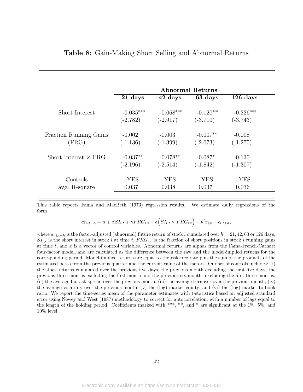<span id="page-44-0"></span>

|                                 | <b>Abnormal Returns</b> |                        |                          |                        |  |
|---------------------------------|-------------------------|------------------------|--------------------------|------------------------|--|
|                                 | 21 days                 | 42 days                | 63 days                  | $126$ days             |  |
| Short Interest                  | $-0.035***$             | $-0.068***$            | $-0.120***$              | $-0.226***$            |  |
|                                 | $(-2.782)$              | $(-2.917)$             | $(-3.710)$               | $(-3.743)$             |  |
| Fraction Running Gains<br>(FRG) | $-0.002$<br>$(-1.136)$  | $-0.003$<br>$(-1.399)$ | $-0.007**$<br>$(-2.073)$ | $-0.008$<br>$(-1.275)$ |  |
| Short Interest $\times$ FRG     | $-0.037**$              | $-0.078**$             | $-0.087*$                | $-0.130$               |  |
|                                 | $(-2.196)$              | $(-2.514)$             | $(-1.842)$               | $(-1.307)$             |  |
| Controls                        | <b>YES</b>              | <b>YES</b>             | <b>YES</b>               | <b>YES</b>             |  |
| avg. R-square                   | 0.037                   | 0.038                  | 0.037                    | 0.036                  |  |

# Table 8: Gain-Making Short Selling and Abnormal Returns

This table reports Fama and MacBeth (1973) regression results. We estimate daily regressions of the form

$$
ar_{i,t+h} = \alpha + \beta SI_{i,t} + \gamma FRG_{i,t} + \delta \Big( SI_{i,t} \times FRG_{i,t} \Big) + \theta' x_{i,t} + \epsilon_{i,t+h},
$$

where  $ar_{i,t+h}$  is the factor-adjusted (abnormal) future return of stock i cumulated over  $h = 21, 42, 63$  or 126 days,  $SI_{i,t}$  is the short interest in stock i at time t,  $FRG_{i,t}$  is the fraction of short positions in stock i running gains at time t, and x is a vector of control variables. Abnormal returns are alphas from the Fama-French-Carhart four-factor model, and are calculated as the difference between the raw and the model-implied returns for the corresponding period. Model-implied returns are equal to the risk-free rate plus the sum of the products of the estimated betas from the previous quarter and the current value of the factors. Our set of controls includes: (i) the stock returns cumulated over the previous five days, the previous month excluding the first five days, the previous three months excluding the first month and the previous six months excluding the first three months; (ii) the average bid-ask spread over the previous month; (iii) the average turnover over the previous month; (iv) the average volatility over the previous month; (v) the (log) market equity; and (vi) the (log) market-to-book ratio. We report the time-series mean of the parameter estimates with t-statistics based on adjusted standard error using Newey and West (1987) methodology to correct for autocorrelation, with a number of lags equal to the length of the holding period. Coefficients marked with \*\*\*, \*\*, and \* are significant at the  $1\%$ ,  $5\%$ , and 10% level.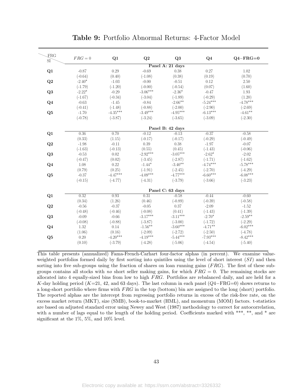<span id="page-45-0"></span>

| FRG<br>SI <sup></sup> | $FRG = 0$ | Q1         | Q2         | Q <sub>3</sub>   | Q <sub>4</sub> | $Q4 - FRG = 0$ |
|-----------------------|-----------|------------|------------|------------------|----------------|----------------|
|                       |           |            |            | Panel A: 21 days |                |                |
| Q1                    | $-0.87$   | 0.29       | $-0.69$    | 0.38             | 0.27           | 1.02           |
|                       | $(-0.64)$ | (0.40)     | $(-1.08)$  | (0.38)           | (0.19)         | (0.70)         |
| Q2                    | $-2.40*$  | $-1.03$    | $-0.00$    | $-0.51$          | 0.12           | 2.50           |
|                       | $(-1.79)$ | $(-1.20)$  | $(-0.00)$  | $(-0.54)$        | (0.07)         | (1.60)         |
| Q <sub>3</sub>        | $-2.22*$  | $-0.29$    | $-3.06***$ | $-2.36*$         | $-0.47$        | 1.93           |
|                       | $(-1.67)$ | $(-0.34)$  | $(-3.04)$  | $(-1.89)$        | $(-0.29)$      | (1.20)         |
| Q <sub>4</sub>        | $-0.63$   | $-1.45$    | $-0.84$    | $-2.66***$       | $-5.24***$     | $-4.78***$     |
|                       | $(-0.41)$ | $(-1.48)$  | $(-0.88)$  | $(-2.00)$        | $(-2.90)$      | $(-2.69)$      |
| Q5                    | $-1.70$   | $-4.35***$ | $-3.49***$ | $-4.95***$       | $-6.13***$     | $-4.61**$      |
|                       | $(-0.78)$ | $(-3.87)$  | $(-3.24)$  | $(-3.65)$        | $(-3.09)$      | $(-2.30)$      |
|                       |           |            |            | Panel B: 42 days |                |                |
| Q1                    | 0.36      | 0.70       | $-0.12$    | $-0.13$          | $-0.37$        | $-0.58$        |
|                       | (0.33)    | (1.15)     | $(-0.17)$  | $(-0.17)$        | $(-0.29)$      | $(-0.49)$      |
| Q2                    | $-1.98$   | $-0.11$    | 0.39       | 0.38             | $-1.97$        | $-0.07$        |
|                       | $(-1.63)$ | $(-0.13)$  | (0.55)     | (0.45)           | $(-1.43)$      | $(-0.06)$      |
| Q <sub>3</sub>        | $-0.53$   | 0.02       | $-2.92***$ | $-3.05***$       | $-2.62*$       | $-2.02$        |
|                       | $(-0.47)$ | (0.02)     | $(-3.45)$  | $(-2.87)$        | $(-1.71)$      | $(-1.62)$      |
| $Q_4$                 | 1.08      | 0.22       | $-1.44*$   | $-3.40**$        | $-4.74***$     | $-5.78***$     |
|                       | (0.79)    | (0.25)     | $(-1.91)$  | $(-2.45)$        | $(-2.70)$      | $(-4.29)$      |
| Q <sub>5</sub>        | $-0.37$   | $-4.47***$ | $-4.09***$ | $-4.77***$       | $-6.60***$     | $-6.08***$     |
|                       | $(-0.15)$ | $(-4.77)$  | $(-4.31)$  | $(-3.79)$        | $(-3.66)$      | $(-3.23)$      |
|                       |           |            |            | Panel C: 63 days |                |                |
| Q1                    | 0.32      | 0.93       | 0.31       | $-0.58$          | $-0.44$        | $-0.60$        |
|                       | (0.34)    | (1.26)     | (0.46)     | $(-0.89)$        | $(-0.39)$      | $(-0.58)$      |
| Q2                    | $-0.56$   | $-0.37$    | $-0.05$    | 0.37             | $-2.09$        | $-1.52$        |
|                       | $(-0.48)$ | $(-0.46)$  | $(-0.08)$  | (0.41)           | $(-1.43)$      | $(-1.39)$      |
| Q <sub>3</sub>        | $-0.09$   | $-0.66$    | $-3.17***$ | $-3.11***$       | $-2.70*$       | $-2.59**$      |
|                       | $(-0.08)$ | $(-0.88)$  | $(-3.87)$  | $(-3.00)$        | $(-1.72)$      | $(-2.29)$      |
| Q <sub>4</sub>        | 1.32      | 0.14       | $-1.56***$ | $-3.60***$       | $-4.71**$      | $-6.02***$     |
|                       | (1.06)    | (0.16)     | $(-2.09)$  | $(-2.72)$        | $(-2.50)$      | $(-4.78)$      |
| Q5                    | 0.20      | $-4.20***$ | $-4.19***$ | $-5.44***$       | $-7.93***$     | $-8.42***$     |
|                       | (0.10)    | $(-3.79)$  | $(-4.28)$  | $(-5.06)$        | $(-4.54)$      | $(-5.40)$      |

Table 9: Portfolio Abnormal Returns: 4-Factor Model

This table presents (annualized) Fama-French-Carhart four-factor alphas (in percent). We examine valueweighted portfolios formed daily by first sorting into quintiles using the level of short interest  $(SI)$  and then sorting into five sub-groups using the fraction of shares on loan running gains  $(FRG)$ . The first of these subgroups contains all stocks with no short seller making gains, for which  $FRG = 0$ . The remaining stocks are allocated into 4 equally-sized bins from low to high FRG. Portfolios are rebalanced daily, and are held for a K-day holding period (K=21, 42, and 63 days). The last column in each panel ( $Q4-\text{FRG}=0$ ) shows returns to a long-short portfolio where firms with FRG in the top (bottom) bin are assigned to the long (short) portfolio. The reported alphas are the intercept from regressing portfolio returns in excess of the risk-free rate, on the excess market return (MKT), size (SMB), book-to-market (HML), and momentum (MOM) factors. t-statistics are based on adjusted standard error using Newey and West (1987) methodology to correct for autocorrelation, with a number of lags equal to the length of the holding period. Coefficients marked with \*\*\*, \*\*, and \* are significant at the 1%, 5%, and 10% level.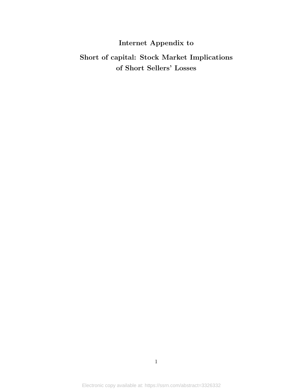# Internet Appendix to

# Short of capital: Stock Market Implications of Short Sellers' Losses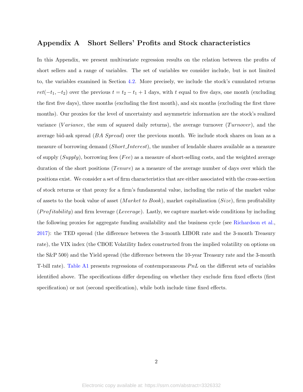# Appendix A Short Sellers' Profits and Stock characteristics

In this Appendix, we present multivariate regression results on the relation between the profits of short sellers and a range of variables. The set of variables we consider include, but is not limited to, the variables examined in Section [4.2.](#page-16-0) More precisely, we include the stock's cumulated returns  $ret(-t_1, -t_2)$  over the previous  $t = t_2 - t_1 + 1$  days, with t equal to five days, one month (excluding the first five days), three months (excluding the first month), and six months (excluding the first three months). Our proxies for the level of uncertainty and asymmetric information are the stock's realized variance (Variance, the sum of squared daily returns), the average turnover (Turnover), and the average bid-ask spread (BA Spread) over the previous month. We include stock shares on loan as a measure of borrowing demand (Short Interest), the number of lendable shares available as a measure of supply  $(Supply)$ , borrowing fees  $(Fee)$  as a measure of short-selling costs, and the weighted average duration of the short positions (*Tenure*) as a measure of the average number of days over which the positions exist. We consider a set of firm characteristics that are either associated with the cross-section of stock returns or that proxy for a firm's fundamental value, including the ratio of the market value of assets to the book value of asset (*Market to Book*), market capitalization (*Size*), firm profitability  $(Profitability)$  and firm leverage (Leverage). Lastly, we capture market-wide conditions by including the following proxies for aggregate funding availability and the business cycle (see [Richardson et al.,](#page-32-10) [2017\)](#page-32-10): the TED spread (the difference between the 3-month LIBOR rate and the 3-month Treasury rate), the VIX index (the CBOE Volatility Index constructed from the implied volatility on options on the S&P 500) and the Yield spread (the difference between the 10-year Treasury rate and the 3-month T-bill rate). Table A1 presents regressions of contemporaneous  $PnL$  on the different sets of variables identified above. The specifications differ depending on whether they exclude firm fixed effects (first specification) or not (second specification), while both include time fixed effects.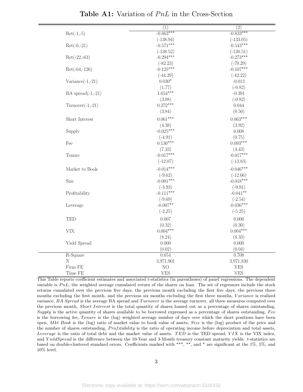|                           | (1)         | (2)             |
|---------------------------|-------------|-----------------|
| $Ret(-1,-5)$              | $-0.863***$ | $-0.833***$     |
|                           | $(-138.94)$ | $(-133.05)$     |
| $Ret(-6,-21)$             | $-0.571***$ | $-0.543***$     |
|                           | $(-138.52)$ | $(-130.51)$     |
| $Ret(-22,-63)$            | $-0.294***$ | $-0.273***$     |
|                           | $(-82.23)$  | $(-79.29)$      |
| $Ret(-64,-126)$           | $-0.125***$ | $-0.107***$     |
|                           | $(-44.29)$  | $(-42.22)$      |
| $\text{Variance}(-1,-21)$ | $0.030*$    | $-0.013$        |
|                           | (1.77)      | $(-0.82)$       |
| BA spread $(-1,-21)$      | $1.654***$  | $-0.391$        |
|                           | (3.88)      | $(-0.82)$       |
| $Turnover(-1,-21)$        | $0.272***$  | 0.044           |
|                           | (3.84)      | (0.50)          |
| Short Interest            | $0.061***$  | $0.063***$      |
|                           | (4.38)      | (3.92)          |
| Supply                    | $-0.025***$ | 0.008           |
|                           | $(-4.91)$   | (0.75)          |
| Fee                       | $0.130***$  | $0.093***$      |
|                           | (7.33)      | (4.43)          |
| Tenure                    | $-0.017***$ | $-0.017***$     |
|                           | $(-12.07)$  | $(-13.83)$      |
| Market to Book            | $-0.014***$ | $-0.046***$     |
|                           | $(-9.62)$   | $(-12.66)$      |
| Size                      | $-0.001***$ | $-0.018***$     |
|                           | $(-3.93)$   | $(-9.91)$       |
| Profitability             | $-0.111***$ | $-0.041**$      |
|                           | $(-9.69)$   | $(-2.54)$       |
| Leverage                  | $-0.007**$  | $-0.036***$     |
|                           | $(-2.25)$   | $(-5.25)$       |
| <b>TED</b>                | 0.007       | 0.006           |
|                           | (0.32)      | (0.30)          |
| <b>VIX</b>                | $0.004***$  | $0.004***$      |
|                           | (8.24)      | (8.33)          |
| Yield Spread              | 0.000       | 0.000           |
|                           | (0.02)      |                 |
| $R-Square$                | 0.654       | (0.04)<br>0.708 |
| $\rm N$                   | 3,971,901   | 3,971,830       |
| Firm FE                   | NO          | <b>YES</b>      |
| Time FE                   | <b>YES</b>  | <b>YES</b>      |
|                           |             |                 |

**Table A1:** Variation of  $PnL$  in the Cross-Section

This Table reports coefficient estimates and associated t-statistics (in parentheses) of panel regressions. The dependent variable is  $PnL$ , the weighted average cumulated return of the shares on loan. The set of regressors include the stock returns cumulated over the previous five days, the previous month excluding the first five days, the previous three months excluding the first month, and the previous six months excluding the first three months, Variance is realized variance, BA Spread is the average BA spread and Turnover is the average turnover, all three measures computed over the previous month, Short Interest is the total quantity of shares loaned out as a percentage of shares outstanding, Supply is the active quantity of shares available to be borrowed expressed as a percentage of shares outstanding,  $Free$ is the borrowing fee, Tenure is the (log) weighted average number of days over which the short positions have been open, Mkt Book is the (log) ratio of market value to book value of assets, Size is the (log) product of the price and the number of shares outstanding, *Profitability* is the ratio of operating income before depreciation and total assets, Leverage is the ratio of total debt and the market value of assets. TED is the TED spread,  $VIX$  is the VIX index, and YieldSpread is the difference between the 10-Year and 3-Month treasury constant maturity yields. t-statistics are based on double-clustered standard errors. Coefficients marked with \*\*\*, \*\*, and \* are significant at the 1%, 5%, and 10% level.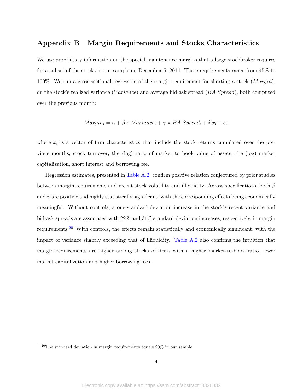# Appendix B Margin Requirements and Stocks Characteristics

We use proprietary information on the special maintenance margins that a large stockbroker requires for a subset of the stocks in our sample on December 5, 2014. These requirements range from 45% to 100%. We run a cross-sectional regression of the margin requirement for shorting a stock  $(Margin)$ , on the stock's realized variance (Variance) and average bid-ask spread  $(BA$  Spread), both computed over the previous month:

$$
Margin_i = \alpha + \beta \times Variance_i + \gamma \times BA \; Spread_i + \delta' x_i + \epsilon_i,
$$

where  $x_i$  is a vector of firm characteristics that include the stock returns cumulated over the previous months, stock turnover, the (log) ratio of market to book value of assets, the (log) market capitalization, short interest and borrowing fee.

Regression estimates, presented in Table [A.2,](#page-50-0) confirm positive relation conjectured by prior studies between margin requirements and recent stock volatility and illiquidity. Across specifications, both  $\beta$ and  $\gamma$  are positive and highly statistically significant, with the corresponding effects being economically meaningful. Without controls, a one-standard deviation increase in the stock's recent variance and bid-ask spreads are associated with 22% and 31% standard-deviation increases, respectively, in margin requirements.[20](#page-2-0) With controls, the effects remain statistically and economically significant, with the impact of variance slightly exceeding that of illiquidity. Table [A.2](#page-50-0) also confirms the intuition that margin requirements are higher among stocks of firms with a higher market-to-book ratio, lower market capitalization and higher borrowing fees.

<sup>&</sup>lt;sup>20</sup>The standard deviation in margin requirements equals  $20\%$  in our sample.